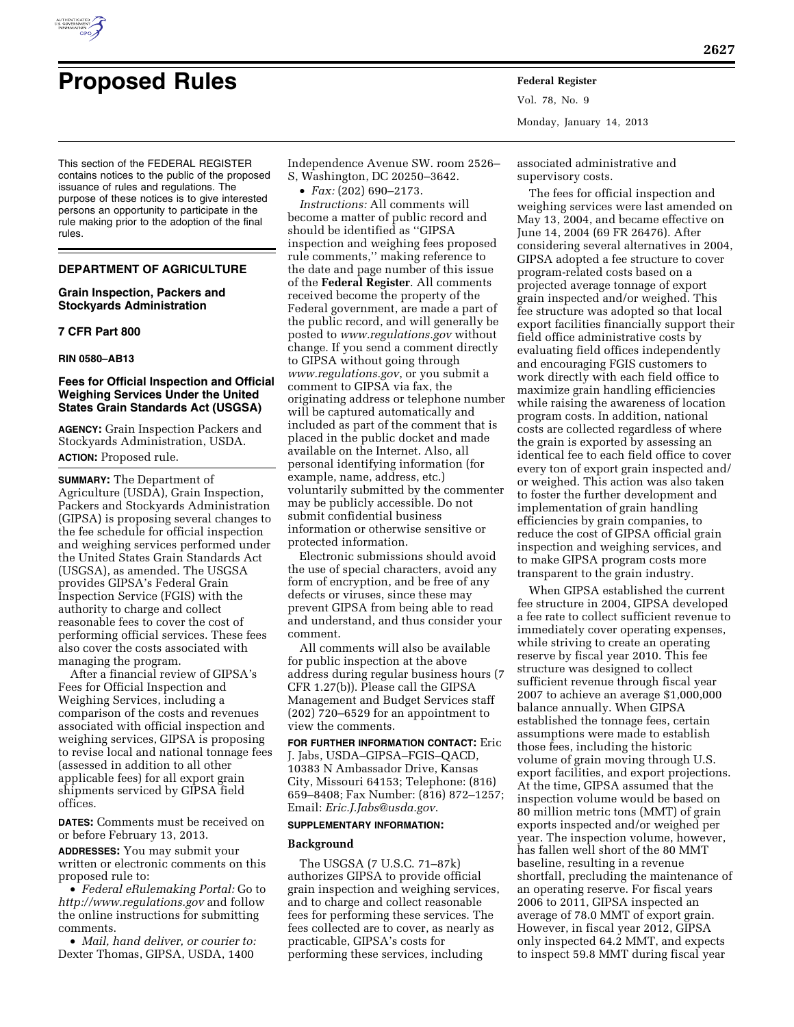

# **Proposed Rules Federal Register**

Vol. 78, No. 9 Monday, January 14, 2013

This section of the FEDERAL REGISTER contains notices to the public of the proposed issuance of rules and regulations. The purpose of these notices is to give interested persons an opportunity to participate in the rule making prior to the adoption of the final rules.

## **DEPARTMENT OF AGRICULTURE**

## **Grain Inspection, Packers and Stockyards Administration**

#### **7 CFR Part 800**

#### **RIN 0580–AB13**

#### **Fees for Official Inspection and Official Weighing Services Under the United States Grain Standards Act (USGSA)**

**AGENCY:** Grain Inspection Packers and Stockyards Administration, USDA. **ACTION:** Proposed rule.

**SUMMARY:** The Department of Agriculture (USDA), Grain Inspection, Packers and Stockyards Administration (GIPSA) is proposing several changes to the fee schedule for official inspection and weighing services performed under the United States Grain Standards Act (USGSA), as amended. The USGSA provides GIPSA's Federal Grain Inspection Service (FGIS) with the authority to charge and collect reasonable fees to cover the cost of performing official services. These fees also cover the costs associated with managing the program.

After a financial review of GIPSA's Fees for Official Inspection and Weighing Services, including a comparison of the costs and revenues associated with official inspection and weighing services, GIPSA is proposing to revise local and national tonnage fees (assessed in addition to all other applicable fees) for all export grain shipments serviced by GIPSA field offices.

**DATES:** Comments must be received on or before February 13, 2013.

**ADDRESSES:** You may submit your written or electronic comments on this proposed rule to:

• *Federal eRulemaking Portal:* Go to *<http://www.regulations.gov>* and follow the online instructions for submitting comments.

• *Mail, hand deliver, or courier to:*  Dexter Thomas, GIPSA, USDA, 1400

Independence Avenue SW. room 2526–

S, Washington, DC 20250–3642.

• *Fax:* (202) 690–2173. *Instructions:* All comments will become a matter of public record and should be identified as ''GIPSA inspection and weighing fees proposed rule comments,'' making reference to the date and page number of this issue of the **Federal Register**. All comments received become the property of the Federal government, are made a part of the public record, and will generally be posted to *[www.regulations.gov](http://www.regulations.gov)* without change. If you send a comment directly to GIPSA without going through *[www.regulations.gov](http://www.regulations.gov)*, or you submit a comment to GIPSA via fax, the originating address or telephone number will be captured automatically and included as part of the comment that is placed in the public docket and made available on the Internet. Also, all personal identifying information (for example, name, address, etc.) voluntarily submitted by the commenter may be publicly accessible. Do not submit confidential business information or otherwise sensitive or protected information.

Electronic submissions should avoid the use of special characters, avoid any form of encryption, and be free of any defects or viruses, since these may prevent GIPSA from being able to read and understand, and thus consider your comment.

All comments will also be available for public inspection at the above address during regular business hours (7 CFR 1.27(b)). Please call the GIPSA Management and Budget Services staff (202) 720–6529 for an appointment to view the comments.

**FOR FURTHER INFORMATION CONTACT:** Eric J. Jabs, USDA–GIPSA–FGIS–QACD, 10383 N Ambassador Drive, Kansas City, Missouri 64153; Telephone: (816) 659–8408; Fax Number: (816) 872–1257; Email: *[Eric.J.Jabs@usda.gov](mailto:Eric.J.Jabs@usda.gov)*.

#### **SUPPLEMENTARY INFORMATION:**

#### **Background**

The USGSA (7 U.S.C. 71–87k) authorizes GIPSA to provide official grain inspection and weighing services, and to charge and collect reasonable fees for performing these services. The fees collected are to cover, as nearly as practicable, GIPSA's costs for performing these services, including

associated administrative and supervisory costs.

The fees for official inspection and weighing services were last amended on May 13, 2004, and became effective on June 14, 2004 (69 FR 26476). After considering several alternatives in 2004, GIPSA adopted a fee structure to cover program-related costs based on a projected average tonnage of export grain inspected and/or weighed. This fee structure was adopted so that local export facilities financially support their field office administrative costs by evaluating field offices independently and encouraging FGIS customers to work directly with each field office to maximize grain handling efficiencies while raising the awareness of location program costs. In addition, national costs are collected regardless of where the grain is exported by assessing an identical fee to each field office to cover every ton of export grain inspected and/ or weighed. This action was also taken to foster the further development and implementation of grain handling efficiencies by grain companies, to reduce the cost of GIPSA official grain inspection and weighing services, and to make GIPSA program costs more transparent to the grain industry.

When GIPSA established the current fee structure in 2004, GIPSA developed a fee rate to collect sufficient revenue to immediately cover operating expenses, while striving to create an operating reserve by fiscal year 2010. This fee structure was designed to collect sufficient revenue through fiscal year 2007 to achieve an average \$1,000,000 balance annually. When GIPSA established the tonnage fees, certain assumptions were made to establish those fees, including the historic volume of grain moving through U.S. export facilities, and export projections. At the time, GIPSA assumed that the inspection volume would be based on 80 million metric tons (MMT) of grain exports inspected and/or weighed per year. The inspection volume, however, has fallen well short of the 80 MMT baseline, resulting in a revenue shortfall, precluding the maintenance of an operating reserve. For fiscal years 2006 to 2011, GIPSA inspected an average of 78.0 MMT of export grain. However, in fiscal year 2012, GIPSA only inspected 64.2 MMT, and expects to inspect 59.8 MMT during fiscal year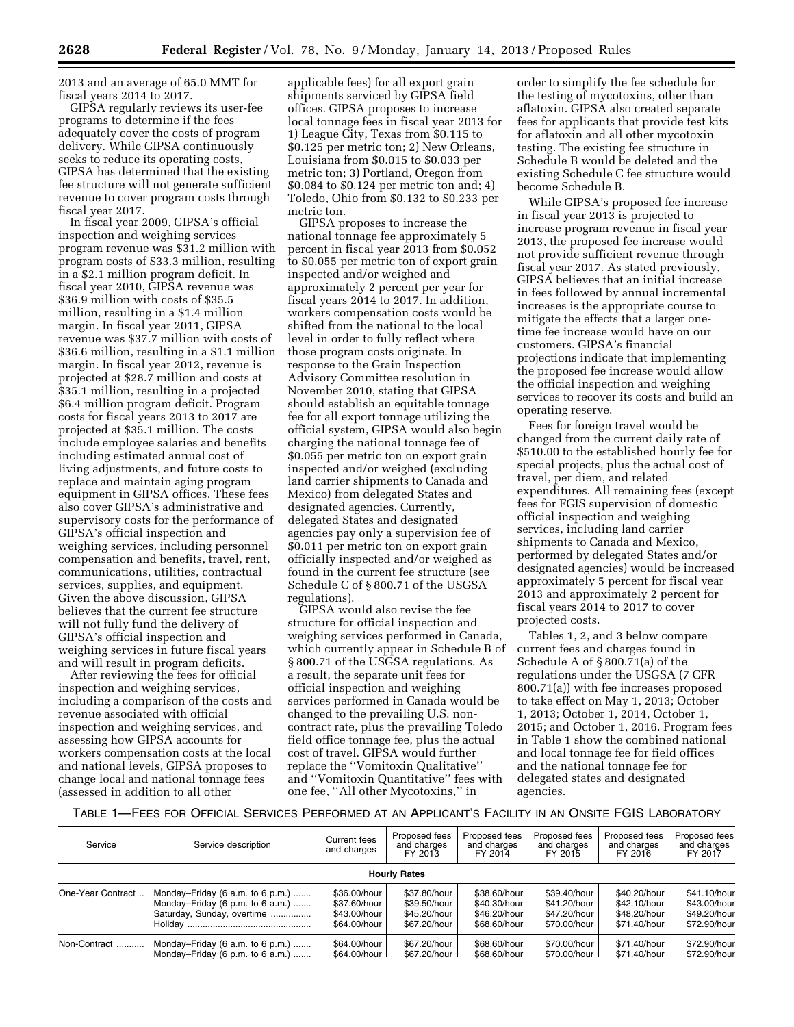2013 and an average of 65.0 MMT for fiscal years 2014 to 2017.

GIPSA regularly reviews its user-fee programs to determine if the fees adequately cover the costs of program delivery. While GIPSA continuously seeks to reduce its operating costs, GIPSA has determined that the existing fee structure will not generate sufficient revenue to cover program costs through fiscal year 2017.

In fiscal year 2009, GIPSA's official inspection and weighing services program revenue was \$31.2 million with program costs of \$33.3 million, resulting in a \$2.1 million program deficit. In fiscal year 2010, GIPSA revenue was \$36.9 million with costs of \$35.5 million, resulting in a \$1.4 million margin. In fiscal year 2011, GIPSA revenue was \$37.7 million with costs of \$36.6 million, resulting in a \$1.1 million margin. In fiscal year 2012, revenue is projected at \$28.7 million and costs at \$35.1 million, resulting in a projected \$6.4 million program deficit. Program costs for fiscal years 2013 to 2017 are projected at \$35.1 million. The costs include employee salaries and benefits including estimated annual cost of living adjustments, and future costs to replace and maintain aging program equipment in GIPSA offices. These fees also cover GIPSA's administrative and supervisory costs for the performance of GIPSA's official inspection and weighing services, including personnel compensation and benefits, travel, rent, communications, utilities, contractual services, supplies, and equipment. Given the above discussion, GIPSA believes that the current fee structure will not fully fund the delivery of GIPSA's official inspection and weighing services in future fiscal years and will result in program deficits.

After reviewing the fees for official inspection and weighing services, including a comparison of the costs and revenue associated with official inspection and weighing services, and assessing how GIPSA accounts for workers compensation costs at the local and national levels, GIPSA proposes to change local and national tonnage fees (assessed in addition to all other

applicable fees) for all export grain shipments serviced by GIPSA field offices. GIPSA proposes to increase local tonnage fees in fiscal year 2013 for 1) League City, Texas from \$0.115 to \$0.125 per metric ton; 2) New Orleans, Louisiana from \$0.015 to \$0.033 per metric ton; 3) Portland, Oregon from \$0.084 to \$0.124 per metric ton and; 4) Toledo, Ohio from \$0.132 to \$0.233 per metric ton.

GIPSA proposes to increase the national tonnage fee approximately 5 percent in fiscal year 2013 from \$0.052 to \$0.055 per metric ton of export grain inspected and/or weighed and approximately 2 percent per year for fiscal years 2014 to 2017. In addition, workers compensation costs would be shifted from the national to the local level in order to fully reflect where those program costs originate. In response to the Grain Inspection Advisory Committee resolution in November 2010, stating that GIPSA should establish an equitable tonnage fee for all export tonnage utilizing the official system, GIPSA would also begin charging the national tonnage fee of \$0.055 per metric ton on export grain inspected and/or weighed (excluding land carrier shipments to Canada and Mexico) from delegated States and designated agencies. Currently, delegated States and designated agencies pay only a supervision fee of \$0.011 per metric ton on export grain officially inspected and/or weighed as found in the current fee structure (see Schedule C of § 800.71 of the USGSA regulations).

GIPSA would also revise the fee structure for official inspection and weighing services performed in Canada, which currently appear in Schedule B of § 800.71 of the USGSA regulations. As a result, the separate unit fees for official inspection and weighing services performed in Canada would be changed to the prevailing U.S. noncontract rate, plus the prevailing Toledo field office tonnage fee, plus the actual cost of travel. GIPSA would further replace the ''Vomitoxin Qualitative'' and ''Vomitoxin Quantitative'' fees with one fee, ''All other Mycotoxins,'' in

order to simplify the fee schedule for the testing of mycotoxins, other than aflatoxin. GIPSA also created separate fees for applicants that provide test kits for aflatoxin and all other mycotoxin testing. The existing fee structure in Schedule B would be deleted and the existing Schedule C fee structure would become Schedule B.

While GIPSA's proposed fee increase in fiscal year 2013 is projected to increase program revenue in fiscal year 2013, the proposed fee increase would not provide sufficient revenue through fiscal year 2017. As stated previously, GIPSA believes that an initial increase in fees followed by annual incremental increases is the appropriate course to mitigate the effects that a larger onetime fee increase would have on our customers. GIPSA's financial projections indicate that implementing the proposed fee increase would allow the official inspection and weighing services to recover its costs and build an operating reserve.

Fees for foreign travel would be changed from the current daily rate of \$510.00 to the established hourly fee for special projects, plus the actual cost of travel, per diem, and related expenditures. All remaining fees (except fees for FGIS supervision of domestic official inspection and weighing services, including land carrier shipments to Canada and Mexico, performed by delegated States and/or designated agencies) would be increased approximately 5 percent for fiscal year 2013 and approximately 2 percent for fiscal years 2014 to 2017 to cover projected costs.

Tables 1, 2, and 3 below compare current fees and charges found in Schedule A of § 800.71(a) of the regulations under the USGSA (7 CFR 800.71(a)) with fee increases proposed to take effect on May 1, 2013; October 1, 2013; October 1, 2014, October 1, 2015; and October 1, 2016. Program fees in Table 1 show the combined national and local tonnage fee for field offices and the national tonnage fee for delegated states and designated agencies.

TABLE 1—FEES FOR OFFICIAL SERVICES PERFORMED AT AN APPLICANT'S FACILITY IN AN ONSITE FGIS LABORATORY

| Service             | Service description              | Current fees<br>and charges | Proposed fees<br>and charges<br>FY 2013 | Proposed fees<br>and charges<br>FY 2014 | Proposed fees<br>and charges<br>FY 2015 | Proposed fees<br>and charges<br>FY 2016 | Proposed fees<br>and charges<br>FY 2017 |  |  |
|---------------------|----------------------------------|-----------------------------|-----------------------------------------|-----------------------------------------|-----------------------------------------|-----------------------------------------|-----------------------------------------|--|--|
| <b>Hourly Rates</b> |                                  |                             |                                         |                                         |                                         |                                         |                                         |  |  |
| One-Year Contract   | Monday-Friday (6 a.m. to 6 p.m.) | \$36.00/hour                | \$37.80/hour                            | \$38.60/hour                            | \$39.40/hour                            | \$40.20/hour                            | \$41.10/hour                            |  |  |
|                     | Monday-Friday (6 p.m. to 6 a.m.) | \$37.60/hour                | \$39.50/hour                            | \$40.30/hour                            | \$41.20/hour                            | \$42.10/hour                            | \$43.00/hour                            |  |  |
|                     | Saturday, Sunday, overtime       | \$43.00/hour                | \$45.20/hour                            | \$46.20/hour                            | \$47.20/hour                            | \$48.20/hour                            | \$49.20/hour                            |  |  |
|                     |                                  | \$64.00/hour                | \$67.20/hour                            | \$68.60/hour                            | \$70.00/hour                            | \$71.40/hour                            | \$72.90/hour                            |  |  |
| Non-Contract        | Monday-Friday (6 a.m. to 6 p.m.) | \$64.00/hour                | \$67.20/hour                            | \$68.60/hour                            | \$70.00/hour                            | \$71.40/hour                            | \$72.90/hour                            |  |  |
|                     | Monday-Friday (6 p.m. to 6 a.m.) | \$64.00/hour                | \$67.20/hour                            | \$68.60/hour                            | \$70.00/hour                            | \$71.40/hour                            | \$72.90/hour                            |  |  |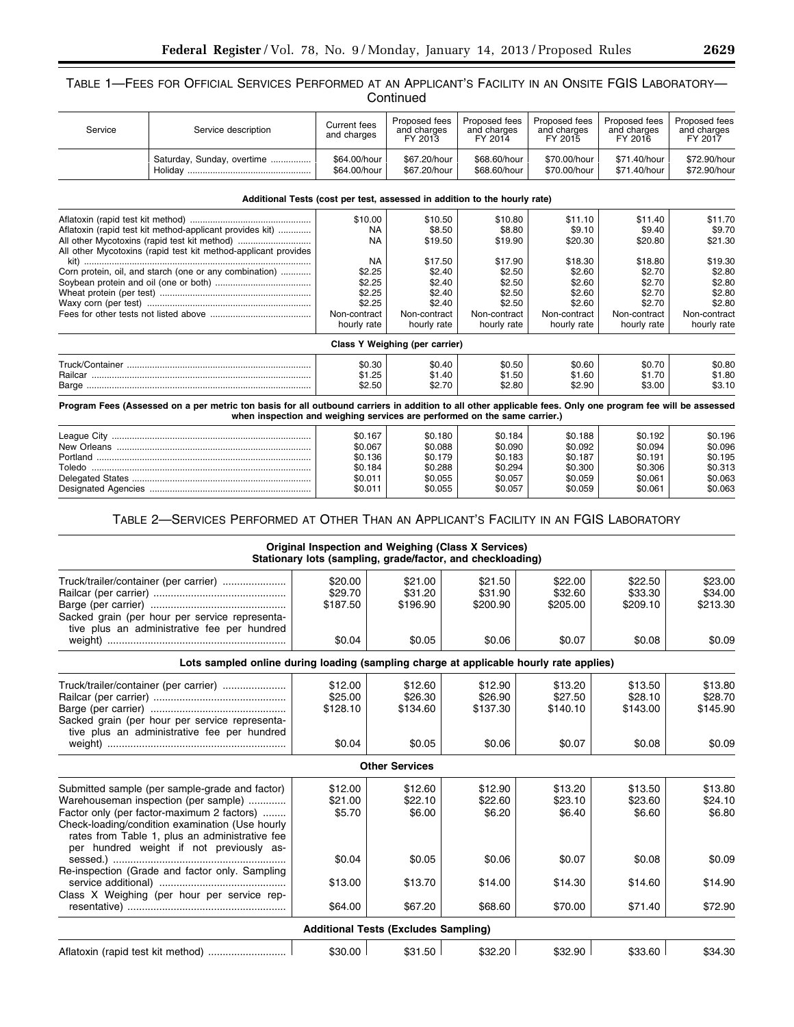## TABLE 1—FEES FOR OFFICIAL SERVICES PERFORMED AT AN APPLICANT'S FACILITY IN AN ONSITE FGIS LABORATORY— **Continued**

| Service | Service description                                                                                                                                                                                                                     | <b>Current fees</b><br>and charges | Proposed fees<br>and charges<br>FY 2013 | Proposed fees<br>and charges<br>FY 2014 | Proposed fees<br>and charges<br>FY 2015 | Proposed fees<br>and charges<br>FY 2016 | Proposed fees<br>and charges<br>FY 2017 |
|---------|-----------------------------------------------------------------------------------------------------------------------------------------------------------------------------------------------------------------------------------------|------------------------------------|-----------------------------------------|-----------------------------------------|-----------------------------------------|-----------------------------------------|-----------------------------------------|
|         | Saturday, Sunday, overtime                                                                                                                                                                                                              | \$64.00/hour<br>\$64.00/hour       | \$67.20/hour<br>\$67.20/hour            | \$68.60/hour<br>\$68.60/hour            | \$70.00/hour<br>\$70.00/hour            | \$71.40/hour<br>\$71.40/hour            | \$72.90/hour<br>\$72.90/hour            |
|         | Additional Tests (cost per test, assessed in addition to the hourly rate)                                                                                                                                                               |                                    |                                         |                                         |                                         |                                         |                                         |
|         |                                                                                                                                                                                                                                         | \$10.00                            | \$10.50                                 | \$10.80                                 | \$11.10                                 | \$11.40                                 | \$11.70                                 |
|         | Aflatoxin (rapid test kit method-applicant provides kit)                                                                                                                                                                                | <b>NA</b>                          | \$8.50                                  | \$8.80                                  | \$9.10                                  | \$9.40                                  | \$9.70                                  |
|         |                                                                                                                                                                                                                                         | <b>NA</b>                          | \$19.50                                 | \$19.90                                 | \$20.30                                 | \$20.80                                 | \$21.30                                 |
|         | All other Mycotoxins (rapid test kit method-applicant provides                                                                                                                                                                          |                                    |                                         |                                         |                                         |                                         |                                         |
|         |                                                                                                                                                                                                                                         | <b>NA</b>                          | \$17.50                                 | \$17.90                                 | \$18.30                                 | \$18.80                                 | \$19.30                                 |
|         | Corn protein, oil, and starch (one or any combination)                                                                                                                                                                                  | \$2.25                             | \$2.40                                  | \$2.50                                  | \$2.60                                  | \$2.70                                  | \$2.80                                  |
|         |                                                                                                                                                                                                                                         | \$2.25                             | \$2.40                                  | \$2.50                                  | \$2.60                                  | \$2.70                                  | \$2.80                                  |
|         |                                                                                                                                                                                                                                         | \$2.25                             | \$2.40                                  | \$2.50                                  | \$2.60                                  | \$2.70                                  | \$2.80                                  |
|         |                                                                                                                                                                                                                                         | \$2.25                             | \$2.40                                  | \$2.50                                  | \$2.60                                  | \$2.70                                  | \$2.80                                  |
|         |                                                                                                                                                                                                                                         | Non-contract                       | Non-contract                            | Non-contract                            | Non-contract                            | Non-contract                            | Non-contract                            |
|         |                                                                                                                                                                                                                                         | hourly rate                        | hourly rate                             | hourly rate                             | hourly rate                             | hourly rate                             | hourly rate                             |
|         |                                                                                                                                                                                                                                         |                                    | Class Y Weighing (per carrier)          |                                         |                                         |                                         |                                         |
|         |                                                                                                                                                                                                                                         | \$0.30                             | \$0.40                                  | \$0.50                                  | \$0.60                                  | \$0.70                                  | \$0.80                                  |
|         |                                                                                                                                                                                                                                         | \$1.25                             | \$1.40                                  | \$1.50                                  | \$1.60                                  | \$1.70                                  | \$1.80                                  |
|         |                                                                                                                                                                                                                                         | \$2.50                             | \$2.70                                  | \$2.80                                  | \$2.90                                  | \$3.00                                  | \$3.10                                  |
|         | Program Fees (Assessed on a per metric ton basis for all outbound carriers in addition to all other applicable fees. Only one program fee will be assessed<br>when inspection and weighing services are performed on the same carrier.) |                                    |                                         |                                         |                                         |                                         |                                         |
|         |                                                                                                                                                                                                                                         | \$0.167                            | \$0.180                                 | \$0.184                                 | \$0.188                                 | \$0.192                                 | \$0.196                                 |

| League City | \$0.167 | \$0.180 | \$0.184 | \$0.188 | \$0.192 | \$0.196 |
|-------------|---------|---------|---------|---------|---------|---------|
| New Orleans | \$0.067 | \$0.088 | \$0.090 | \$0.092 | \$0.094 | \$0.096 |
| Portland    | \$0.136 | \$0.179 | \$0.183 | \$0.187 | \$0.191 | \$0.195 |
| Toledo      | \$0.184 | \$0.288 | \$0.294 | \$0.300 | \$0.306 | \$0.313 |
|             | \$0.011 | \$0.055 | \$0.057 | \$0.059 | \$0.061 | \$0.063 |
|             | \$0.011 | \$0.055 | \$0.057 | \$0.059 | \$0.061 | \$0.063 |

# TABLE 2—SERVICES PERFORMED AT OTHER THAN AN APPLICANT'S FACILITY IN AN FGIS LABORATORY

|                                                                                                                                                                                                                                                                                       |                                        |                                             | Original Inspection and Weighing (Class X Services)<br>Stationary lots (sampling, grade/factor, and checkloading) |                                        |                                        |                                        |
|---------------------------------------------------------------------------------------------------------------------------------------------------------------------------------------------------------------------------------------------------------------------------------------|----------------------------------------|---------------------------------------------|-------------------------------------------------------------------------------------------------------------------|----------------------------------------|----------------------------------------|----------------------------------------|
| Truck/trailer/container (per carrier)<br>Sacked grain (per hour per service representa-                                                                                                                                                                                               | \$20.00<br>\$29.70<br>\$187.50         | \$21.00<br>\$31.20<br>\$196.90              | \$21.50<br>\$31.90<br>\$200.90                                                                                    | \$22.00<br>\$32.60<br>\$205.00         | \$22.50<br>\$33.30<br>\$209.10         | \$23.00<br>\$34.00<br>\$213.30         |
| tive plus an administrative fee per hundred                                                                                                                                                                                                                                           | \$0.04                                 | \$0.05                                      | \$0.06                                                                                                            | \$0.07                                 | \$0.08                                 | \$0.09                                 |
| Lots sampled online during loading (sampling charge at applicable hourly rate applies)                                                                                                                                                                                                |                                        |                                             |                                                                                                                   |                                        |                                        |                                        |
| Truck/trailer/container (per carrier)<br>Sacked grain (per hour per service representa-<br>tive plus an administrative fee per hundred                                                                                                                                                | \$12.00<br>\$25.00<br>\$128.10         | \$12.60<br>\$26.30<br>\$134.60              | \$12.90<br>\$26.90<br>\$137.30                                                                                    | \$13.20<br>\$27.50<br>\$140.10         | \$13.50<br>\$28.10<br>\$143.00         | \$13.80<br>\$28.70<br>\$145.90         |
|                                                                                                                                                                                                                                                                                       | \$0.04                                 | \$0.05                                      | \$0.06                                                                                                            | \$0.07                                 | \$0.08                                 | \$0.09                                 |
|                                                                                                                                                                                                                                                                                       |                                        | <b>Other Services</b>                       |                                                                                                                   |                                        |                                        |                                        |
| Submitted sample (per sample-grade and factor)<br>Warehouseman inspection (per sample)<br>Factor only (per factor-maximum 2 factors)<br>Check-loading/condition examination (Use hourly<br>rates from Table 1, plus an administrative fee<br>per hundred weight if not previously as- | \$12.00<br>\$21.00<br>\$5.70<br>\$0.04 | \$12.60<br>\$22.10<br>\$6.00<br>\$0.05      | \$12.90<br>\$22.60<br>\$6.20<br>\$0.06                                                                            | \$13.20<br>\$23.10<br>\$6.40<br>\$0.07 | \$13.50<br>\$23.60<br>\$6.60<br>\$0.08 | \$13.80<br>\$24.10<br>\$6.80<br>\$0.09 |
| Re-inspection (Grade and factor only. Sampling                                                                                                                                                                                                                                        | \$13.00                                | \$13.70                                     | \$14.00                                                                                                           | \$14.30                                | \$14.60                                | \$14.90                                |
| Class X Weighing (per hour per service rep-                                                                                                                                                                                                                                           | \$64.00                                | \$67.20                                     | \$68.60                                                                                                           | \$70.00                                | \$71.40                                | \$72.90                                |
|                                                                                                                                                                                                                                                                                       |                                        | <b>Additional Tests (Excludes Sampling)</b> |                                                                                                                   |                                        |                                        |                                        |
|                                                                                                                                                                                                                                                                                       | \$30.00                                | \$31.50                                     | \$32.20                                                                                                           | \$32.90                                | \$33.60                                | \$34.30                                |

٠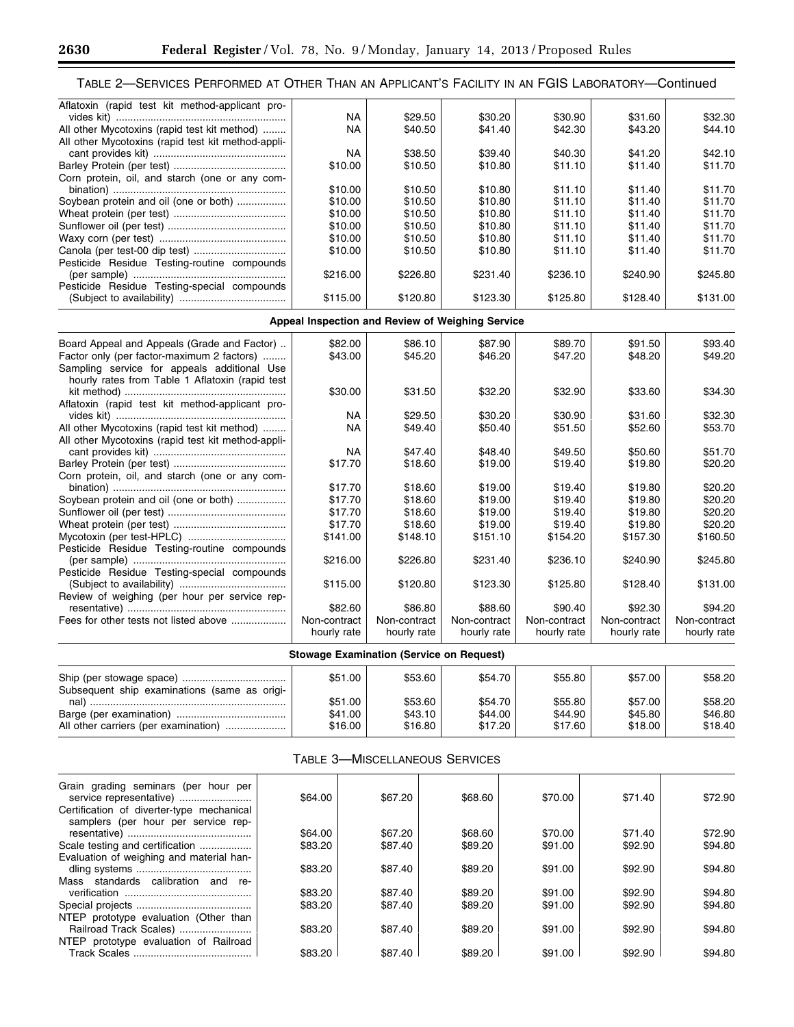| Aflatoxin (rapid test kit method-applicant pro-    |           |          |          |          |          |          |
|----------------------------------------------------|-----------|----------|----------|----------|----------|----------|
|                                                    | <b>NA</b> | \$29.50  | \$30.20  | \$30.90  | \$31.60  | \$32.30  |
| All other Mycotoxins (rapid test kit method)       | <b>NA</b> | \$40.50  | \$41.40  | \$42.30  | \$43.20  | \$44.10  |
| All other Mycotoxins (rapid test kit method-appli- |           |          |          |          |          |          |
|                                                    | <b>NA</b> | \$38.50  | \$39.40  | \$40.30  | \$41.20  | \$42.10  |
|                                                    | \$10.00   | \$10.50  | \$10.80  | \$11.10  | \$11.40  | \$11.70  |
| Corn protein, oil, and starch (one or any com-     |           |          |          |          |          |          |
|                                                    | \$10.00   | \$10.50  | \$10.80  | \$11.10  | \$11.40  | \$11.70  |
| Soybean protein and oil (one or both)              | \$10.00   | \$10.50  | \$10.80  | \$11.10  | \$11.40  | \$11.70  |
|                                                    | \$10.00   | \$10.50  | \$10.80  | \$11.10  | \$11.40  | \$11.70  |
|                                                    | \$10.00   | \$10.50  | \$10.80  | \$11.10  | \$11.40  | \$11.70  |
|                                                    | \$10.00   | \$10.50  | \$10.80  | \$11.10  | \$11.40  | \$11.70  |
|                                                    | \$10.00   | \$10.50  | \$10.80  | \$11.10  | \$11.40  | \$11.70  |
| Pesticide Residue Testing-routine compounds        |           |          |          |          |          |          |
|                                                    | \$216.00  | \$226.80 | \$231.40 | \$236.10 | \$240.90 | \$245.80 |
| Pesticide Residue Testing-special compounds        |           |          |          |          |          |          |
|                                                    | \$115.00  | \$120.80 | \$123.30 | \$125.80 | \$128.40 | \$131.00 |

# **Appeal Inspection and Review of Weighing Service**

| Board Appeal and Appeals (Grade and Factor)<br>Factor only (per factor-maximum 2 factors)      | \$82.00<br>\$43.00 | \$86.10<br>\$45.20 | \$87.90<br>\$46.20 | \$89.70<br>\$47.20 | \$91.50<br>\$48.20 | \$93.40<br>\$49.20 |
|------------------------------------------------------------------------------------------------|--------------------|--------------------|--------------------|--------------------|--------------------|--------------------|
| Sampling service for appeals additional Use<br>hourly rates from Table 1 Aflatoxin (rapid test | \$30.00            | \$31.50            | \$32.20            | \$32.90            | \$33.60            | \$34.30            |
| Aflatoxin (rapid test kit method-applicant pro-                                                |                    |                    |                    |                    |                    |                    |
|                                                                                                | NA.                | \$29.50            | \$30.20            | \$30.90            | \$31.60            | \$32.30            |
| All other Mycotoxins (rapid test kit method)                                                   | <b>NA</b>          | \$49.40            | \$50.40            | \$51.50            | \$52.60            | \$53.70            |
| All other Mycotoxins (rapid test kit method-appli-                                             |                    |                    |                    |                    |                    |                    |
|                                                                                                | NA                 | \$47.40            | \$48.40            | \$49.50            | \$50.60            | \$51.70            |
|                                                                                                | \$17.70            | \$18.60            | \$19.00            | \$19.40            | \$19.80            | \$20.20            |
| Corn protein, oil, and starch (one or any com-                                                 |                    |                    |                    |                    |                    |                    |
|                                                                                                | \$17.70            | \$18.60            | \$19.00            | \$19.40            | \$19.80            | \$20.20            |
| Soybean protein and oil (one or both)                                                          | \$17.70            | \$18.60            | \$19.00            | \$19.40            | \$19.80            | \$20.20            |
|                                                                                                | \$17.70            | \$18.60            | \$19.00            | \$19.40            | \$19.80            | \$20.20            |
|                                                                                                | \$17.70            | \$18.60            | \$19.00            | \$19.40            | \$19.80            | \$20.20            |
|                                                                                                | \$141.00           | \$148.10           | \$151.10           | \$154.20           | \$157.30           | \$160.50           |
| Pesticide Residue Testing-routine compounds                                                    |                    |                    |                    |                    |                    |                    |
|                                                                                                | \$216.00           | \$226.80           | \$231.40           | \$236.10           | \$240.90           | \$245.80           |
| Pesticide Residue Testing-special compounds                                                    |                    |                    |                    |                    |                    |                    |
|                                                                                                | \$115.00           | \$120.80           | \$123.30           | \$125.80           | \$128.40           | \$131.00           |
| Review of weighing (per hour per service rep-                                                  |                    |                    |                    |                    |                    |                    |
|                                                                                                | \$82.60            | \$86.80            | \$88.60            | \$90.40            | \$92.30            | \$94.20            |
| Fees for other tests not listed above                                                          | Non-contract       | Non-contract       | Non-contract       | Non-contract       | Non-contract       | Non-contract       |
|                                                                                                | hourly rate        | hourly rate        | hourly rate        | hourly rate        | hourly rate        | hourly rate        |

| Stowage Examination (Service on Request)     |                               |                               |                               |                               |                               |                               |  |
|----------------------------------------------|-------------------------------|-------------------------------|-------------------------------|-------------------------------|-------------------------------|-------------------------------|--|
| Subsequent ship examinations (same as origi- | \$51.00                       | \$53.60                       | \$54.70                       | \$55.80                       | \$57.00                       | \$58.20                       |  |
| All other carriers (per examination)         | \$51.00<br>\$41.00<br>\$16.00 | \$53.60<br>\$43.10<br>\$16.80 | \$54.70<br>\$44.00<br>\$17.20 | \$55.80<br>\$44.90<br>\$17.60 | \$57.00<br>\$45.80<br>\$18.00 | \$58.20<br>\$46.80<br>\$18.40 |  |

# TABLE 3—MISCELLANEOUS SERVICES

| Grain grading seminars (per hour per                                             | \$64.00 | \$67.20 | \$68.60 | \$70.00 | \$71.40 | \$72.90 |
|----------------------------------------------------------------------------------|---------|---------|---------|---------|---------|---------|
| Certification of diverter-type mechanical<br>samplers (per hour per service rep- |         |         |         |         |         |         |
|                                                                                  | \$64.00 | \$67.20 | \$68.60 | \$70.00 | \$71.40 | \$72.90 |
| Scale testing and certification                                                  | \$83.20 | \$87.40 | \$89.20 | \$91.00 | \$92.90 | \$94.80 |
| Evaluation of weighing and material han-                                         |         |         |         |         |         |         |
|                                                                                  | \$83.20 | \$87.40 | \$89.20 | \$91.00 | \$92.90 | \$94.80 |
| Mass standards calibration and<br>re-                                            |         |         |         |         |         |         |
|                                                                                  | \$83.20 | \$87.40 | \$89.20 | \$91.00 | \$92.90 | \$94.80 |
|                                                                                  | \$83.20 | \$87.40 | \$89.20 | \$91.00 | \$92.90 | \$94.80 |
| NTEP prototype evaluation (Other than                                            |         |         |         |         |         |         |
| Railroad Track Scales)                                                           | \$83.20 | \$87.40 | \$89.20 | \$91.00 | \$92.90 | \$94.80 |
| NTEP prototype evaluation of Railroad                                            |         |         |         |         |         |         |
| <b>Track Scales</b>                                                              | \$83.20 | \$87.40 | \$89.20 | \$91.00 | \$92.90 | \$94.80 |
|                                                                                  |         |         |         |         |         |         |

-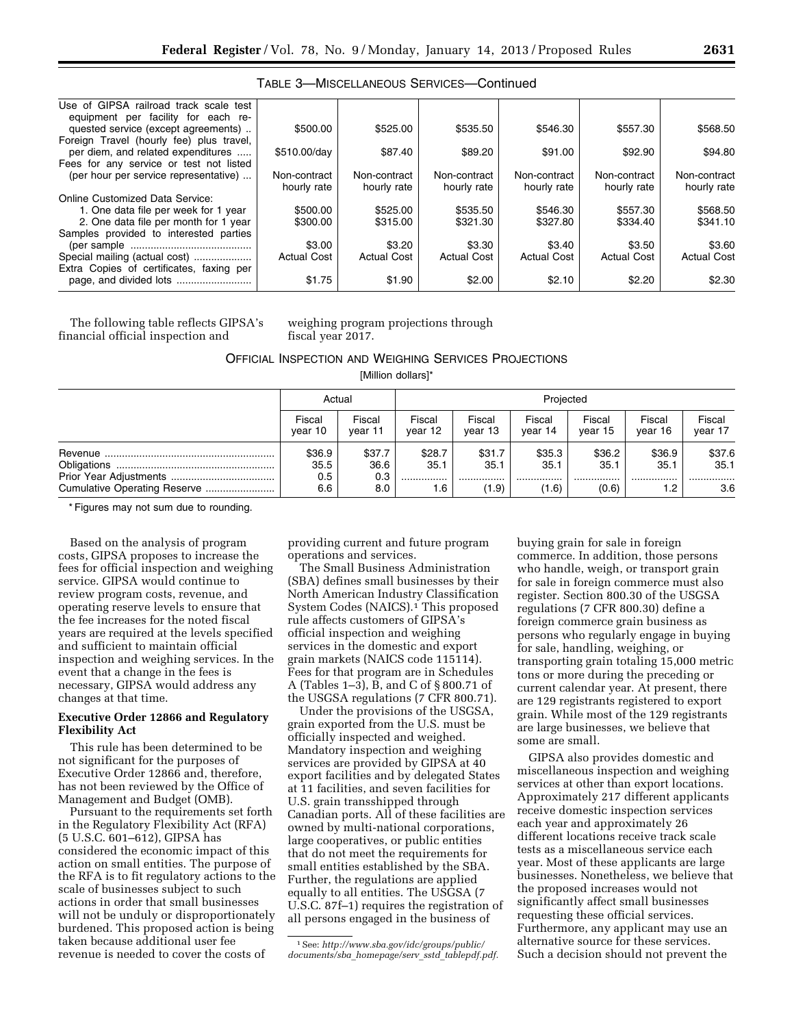| Use of GIPSA railroad track scale test   |                    |                    |                    |                    |                    |                    |
|------------------------------------------|--------------------|--------------------|--------------------|--------------------|--------------------|--------------------|
| equipment per facility for each re-      |                    |                    |                    |                    |                    |                    |
| quested service (except agreements)      | \$500.00           | \$525.00           | \$535.50           | \$546.30           | \$557.30           | \$568.50           |
| Foreign Travel (hourly fee) plus travel, |                    |                    |                    |                    |                    |                    |
| per diem, and related expenditures       | \$510.00/day       | \$87.40            | \$89.20            | \$91.00            | \$92.90            | \$94.80            |
| Fees for any service or test not listed  |                    |                    |                    |                    |                    |                    |
| (per hour per service representative)    | Non-contract       | Non-contract       | Non-contract       | Non-contract       | Non-contract       | Non-contract       |
|                                          | hourly rate        | hourly rate        | hourly rate        | hourly rate        | hourly rate        | hourly rate        |
| Online Customized Data Service:          |                    |                    |                    |                    |                    |                    |
| 1. One data file per week for 1 year     | \$500.00           | \$525.00           | \$535.50           | \$546.30           | \$557.30           | \$568.50           |
| 2. One data file per month for 1 year    | \$300.00           | \$315.00           | \$321.30           | \$327.80           | \$334.40           | \$341.10           |
| Samples provided to interested parties   |                    |                    |                    |                    |                    |                    |
|                                          | \$3.00             | \$3.20             | \$3.30             | \$3.40             | \$3.50             | \$3.60             |
| Special mailing (actual cost)            | <b>Actual Cost</b> | <b>Actual Cost</b> | <b>Actual Cost</b> | <b>Actual Cost</b> | <b>Actual Cost</b> | <b>Actual Cost</b> |
| Extra Copies of certificates, faxing per |                    |                    |                    |                    |                    |                    |
|                                          | \$1.75             | \$1.90             | \$2.00             | \$2.10             | \$2.20             | \$2.30             |

The following table reflects GIPSA's financial official inspection and

weighing program projections through fiscal year 2017.

OFFICIAL INSPECTION AND WEIGHING SERVICES PROJECTIONS

[Million dollars]\*

| Actual  |         | Projected |         |         |         |         |         |
|---------|---------|-----------|---------|---------|---------|---------|---------|
| Fiscal  | Fiscal  | Fiscal    | Fiscal  | Fiscal  | Fiscal  | Fiscal  | Fiscal  |
| vear 10 | vear 11 | vear 12   | vear 13 | year 14 | vear 15 | vear 16 | vear 17 |
| \$36.9  | \$37.7  | \$28.7    | \$31.7  | \$35.3  | \$36.2  | \$36.9  | \$37.6  |
| 35.5    | 36.6    | 35.1      | 35.1    | 35.1    | 35.1    | 35.1    | 35.1    |
| 0.5     | 0.3     |           |         |         |         |         |         |
| 6.6     | 8.0     | 6.،       | (1.9)   | (1.6)   | (0.6)   | 1.2     | 3.6     |

\* Figures may not sum due to rounding.

Based on the analysis of program costs, GIPSA proposes to increase the fees for official inspection and weighing service. GIPSA would continue to review program costs, revenue, and operating reserve levels to ensure that the fee increases for the noted fiscal years are required at the levels specified and sufficient to maintain official inspection and weighing services. In the event that a change in the fees is necessary, GIPSA would address any changes at that time.

## **Executive Order 12866 and Regulatory Flexibility Act**

This rule has been determined to be not significant for the purposes of Executive Order 12866 and, therefore, has not been reviewed by the Office of Management and Budget (OMB).

Pursuant to the requirements set forth in the Regulatory Flexibility Act (RFA) (5 U.S.C. 601–612), GIPSA has considered the economic impact of this action on small entities. The purpose of the RFA is to fit regulatory actions to the scale of businesses subject to such actions in order that small businesses will not be unduly or disproportionately burdened. This proposed action is being taken because additional user fee revenue is needed to cover the costs of

providing current and future program operations and services.

The Small Business Administration (SBA) defines small businesses by their North American Industry Classification System Codes (NAICS).<sup>1</sup> This proposed rule affects customers of GIPSA's official inspection and weighing services in the domestic and export grain markets (NAICS code 115114). Fees for that program are in Schedules A (Tables 1–3), B, and C of § 800.71 of the USGSA regulations (7 CFR 800.71).

Under the provisions of the USGSA, grain exported from the U.S. must be officially inspected and weighed. Mandatory inspection and weighing services are provided by GIPSA at 40 export facilities and by delegated States at 11 facilities, and seven facilities for U.S. grain transshipped through Canadian ports. All of these facilities are owned by multi-national corporations, large cooperatives, or public entities that do not meet the requirements for small entities established by the SBA. Further, the regulations are applied equally to all entities. The USGSA (7 U.S.C. 87f–1) requires the registration of all persons engaged in the business of

1See: *[http://www.sba.gov/idc/groups/public/](http://www.sba.gov/idc/groups/public/documents/sba_homepage/serv_sstd_tablepdf.pdf)  [documents/sba](http://www.sba.gov/idc/groups/public/documents/sba_homepage/serv_sstd_tablepdf.pdf)*\_*homepage/serv*\_*sstd*\_*tablepdf.pdf.*  buying grain for sale in foreign commerce. In addition, those persons who handle, weigh, or transport grain for sale in foreign commerce must also register. Section 800.30 of the USGSA regulations (7 CFR 800.30) define a foreign commerce grain business as persons who regularly engage in buying for sale, handling, weighing, or transporting grain totaling 15,000 metric tons or more during the preceding or current calendar year. At present, there are 129 registrants registered to export grain. While most of the 129 registrants are large businesses, we believe that some are small.

GIPSA also provides domestic and miscellaneous inspection and weighing services at other than export locations. Approximately 217 different applicants receive domestic inspection services each year and approximately 26 different locations receive track scale tests as a miscellaneous service each year. Most of these applicants are large businesses. Nonetheless, we believe that the proposed increases would not significantly affect small businesses requesting these official services. Furthermore, any applicant may use an alternative source for these services. Such a decision should not prevent the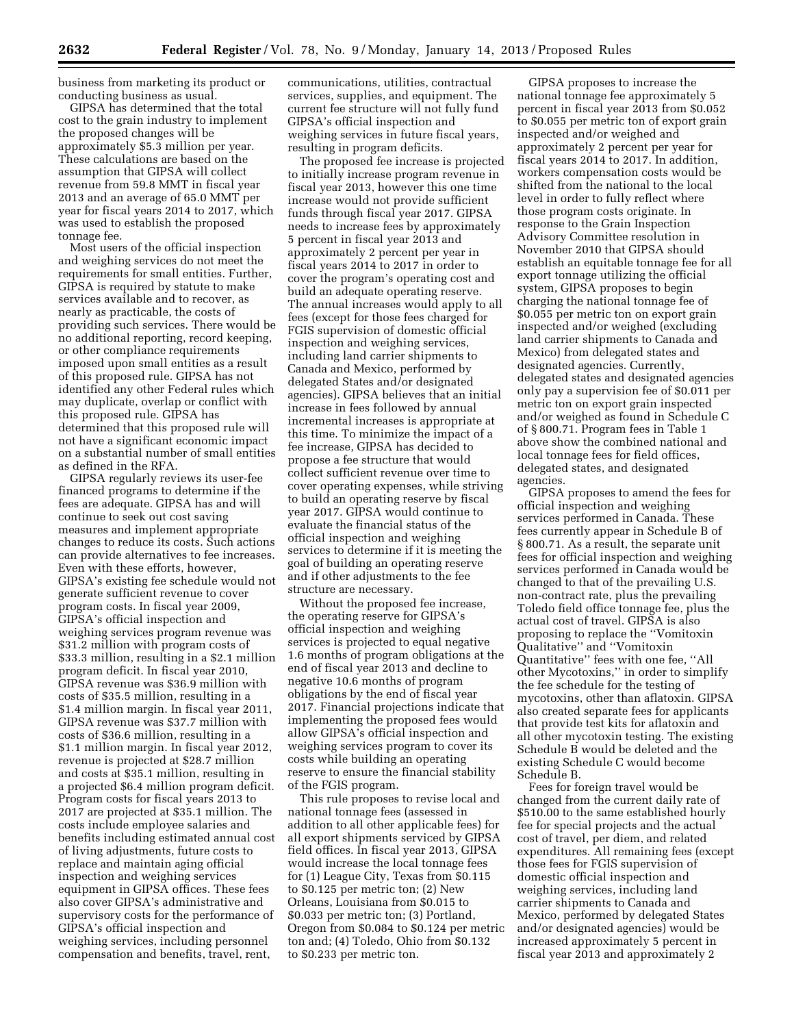business from marketing its product or conducting business as usual.

GIPSA has determined that the total cost to the grain industry to implement the proposed changes will be approximately \$5.3 million per year. These calculations are based on the assumption that GIPSA will collect revenue from 59.8 MMT in fiscal year 2013 and an average of 65.0 MMT per year for fiscal years 2014 to 2017, which was used to establish the proposed tonnage fee.

Most users of the official inspection and weighing services do not meet the requirements for small entities. Further, GIPSA is required by statute to make services available and to recover, as nearly as practicable, the costs of providing such services. There would be no additional reporting, record keeping, or other compliance requirements imposed upon small entities as a result of this proposed rule. GIPSA has not identified any other Federal rules which may duplicate, overlap or conflict with this proposed rule. GIPSA has determined that this proposed rule will not have a significant economic impact on a substantial number of small entities as defined in the RFA.

GIPSA regularly reviews its user-fee financed programs to determine if the fees are adequate. GIPSA has and will continue to seek out cost saving measures and implement appropriate changes to reduce its costs. Such actions can provide alternatives to fee increases. Even with these efforts, however, GIPSA's existing fee schedule would not generate sufficient revenue to cover program costs. In fiscal year 2009, GIPSA's official inspection and weighing services program revenue was \$31.2 million with program costs of \$33.3 million, resulting in a \$2.1 million program deficit. In fiscal year 2010, GIPSA revenue was \$36.9 million with costs of \$35.5 million, resulting in a \$1.4 million margin. In fiscal year 2011, GIPSA revenue was \$37.7 million with costs of \$36.6 million, resulting in a \$1.1 million margin. In fiscal year 2012, revenue is projected at \$28.7 million and costs at \$35.1 million, resulting in a projected \$6.4 million program deficit. Program costs for fiscal years 2013 to 2017 are projected at \$35.1 million. The costs include employee salaries and benefits including estimated annual cost of living adjustments, future costs to replace and maintain aging official inspection and weighing services equipment in GIPSA offices. These fees also cover GIPSA's administrative and supervisory costs for the performance of GIPSA's official inspection and weighing services, including personnel compensation and benefits, travel, rent,

communications, utilities, contractual services, supplies, and equipment. The current fee structure will not fully fund GIPSA's official inspection and weighing services in future fiscal years, resulting in program deficits.

The proposed fee increase is projected to initially increase program revenue in fiscal year 2013, however this one time increase would not provide sufficient funds through fiscal year 2017. GIPSA needs to increase fees by approximately 5 percent in fiscal year 2013 and approximately 2 percent per year in fiscal years 2014 to 2017 in order to cover the program's operating cost and build an adequate operating reserve. The annual increases would apply to all fees (except for those fees charged for FGIS supervision of domestic official inspection and weighing services, including land carrier shipments to Canada and Mexico, performed by delegated States and/or designated agencies). GIPSA believes that an initial increase in fees followed by annual incremental increases is appropriate at this time. To minimize the impact of a fee increase, GIPSA has decided to propose a fee structure that would collect sufficient revenue over time to cover operating expenses, while striving to build an operating reserve by fiscal year 2017. GIPSA would continue to evaluate the financial status of the official inspection and weighing services to determine if it is meeting the goal of building an operating reserve and if other adjustments to the fee structure are necessary.

Without the proposed fee increase, the operating reserve for GIPSA's official inspection and weighing services is projected to equal negative 1.6 months of program obligations at the end of fiscal year 2013 and decline to negative 10.6 months of program obligations by the end of fiscal year 2017. Financial projections indicate that implementing the proposed fees would allow GIPSA's official inspection and weighing services program to cover its costs while building an operating reserve to ensure the financial stability of the FGIS program.

This rule proposes to revise local and national tonnage fees (assessed in addition to all other applicable fees) for all export shipments serviced by GIPSA field offices. In fiscal year 2013, GIPSA would increase the local tonnage fees for (1) League City, Texas from \$0.115 to \$0.125 per metric ton; (2) New Orleans, Louisiana from \$0.015 to \$0.033 per metric ton; (3) Portland, Oregon from \$0.084 to \$0.124 per metric ton and; (4) Toledo, Ohio from \$0.132 to \$0.233 per metric ton.

GIPSA proposes to increase the national tonnage fee approximately 5 percent in fiscal year 2013 from \$0.052 to \$0.055 per metric ton of export grain inspected and/or weighed and approximately 2 percent per year for fiscal years 2014 to 2017. In addition, workers compensation costs would be shifted from the national to the local level in order to fully reflect where those program costs originate. In response to the Grain Inspection Advisory Committee resolution in November 2010 that GIPSA should establish an equitable tonnage fee for all export tonnage utilizing the official system, GIPSA proposes to begin charging the national tonnage fee of \$0.055 per metric ton on export grain inspected and/or weighed (excluding land carrier shipments to Canada and Mexico) from delegated states and designated agencies. Currently, delegated states and designated agencies only pay a supervision fee of \$0.011 per metric ton on export grain inspected and/or weighed as found in Schedule C of § 800.71. Program fees in Table 1 above show the combined national and local tonnage fees for field offices, delegated states, and designated agencies.

GIPSA proposes to amend the fees for official inspection and weighing services performed in Canada. These fees currently appear in Schedule B of § 800.71. As a result, the separate unit fees for official inspection and weighing services performed in Canada would be changed to that of the prevailing U.S. non-contract rate, plus the prevailing Toledo field office tonnage fee, plus the actual cost of travel. GIPSA is also proposing to replace the ''Vomitoxin Qualitative'' and ''Vomitoxin Quantitative'' fees with one fee, ''All other Mycotoxins,'' in order to simplify the fee schedule for the testing of mycotoxins, other than aflatoxin. GIPSA also created separate fees for applicants that provide test kits for aflatoxin and all other mycotoxin testing. The existing Schedule B would be deleted and the existing Schedule C would become Schedule B.

Fees for foreign travel would be changed from the current daily rate of \$510.00 to the same established hourly fee for special projects and the actual cost of travel, per diem, and related expenditures. All remaining fees (except those fees for FGIS supervision of domestic official inspection and weighing services, including land carrier shipments to Canada and Mexico, performed by delegated States and/or designated agencies) would be increased approximately 5 percent in fiscal year 2013 and approximately 2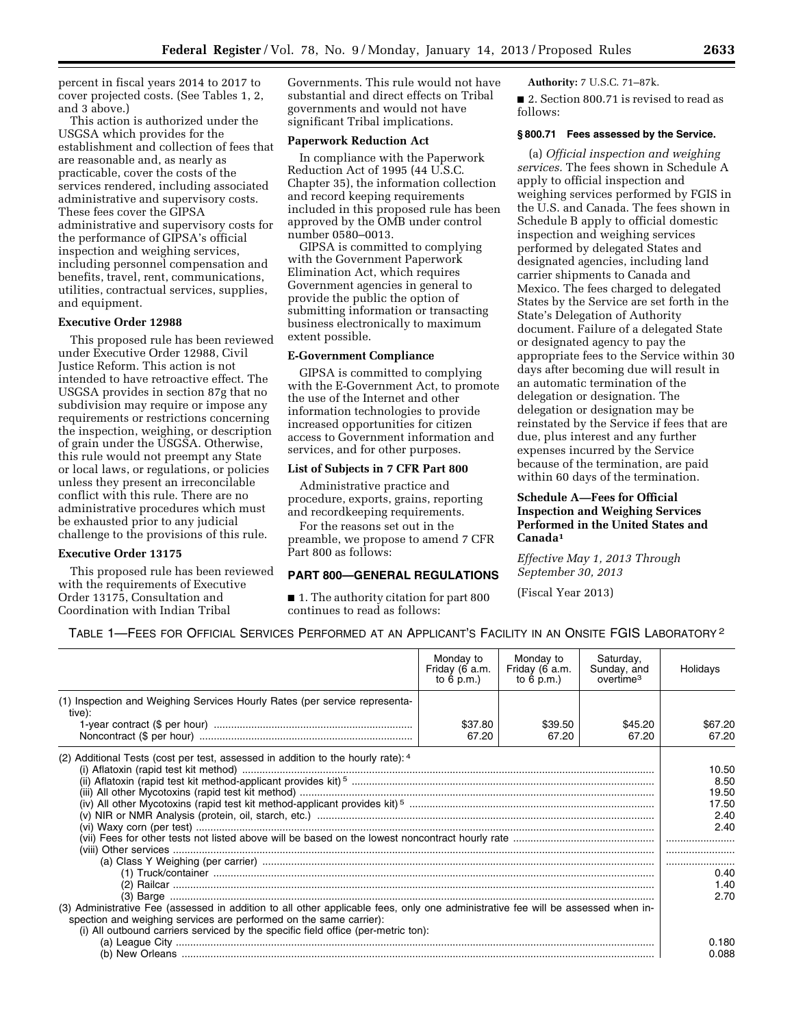percent in fiscal years 2014 to 2017 to cover projected costs. (See Tables 1, 2, and 3 above.)

This action is authorized under the USGSA which provides for the establishment and collection of fees that are reasonable and, as nearly as practicable, cover the costs of the services rendered, including associated administrative and supervisory costs. These fees cover the GIPSA administrative and supervisory costs for the performance of GIPSA's official inspection and weighing services, including personnel compensation and benefits, travel, rent, communications, utilities, contractual services, supplies, and equipment.

#### **Executive Order 12988**

This proposed rule has been reviewed under Executive Order 12988, Civil Justice Reform. This action is not intended to have retroactive effect. The USGSA provides in section 87g that no subdivision may require or impose any requirements or restrictions concerning the inspection, weighing, or description of grain under the USGSA. Otherwise, this rule would not preempt any State or local laws, or regulations, or policies unless they present an irreconcilable conflict with this rule. There are no administrative procedures which must be exhausted prior to any judicial challenge to the provisions of this rule.

## **Executive Order 13175**

This proposed rule has been reviewed with the requirements of Executive Order 13175, Consultation and Coordination with Indian Tribal

Governments. This rule would not have substantial and direct effects on Tribal governments and would not have significant Tribal implications.

#### **Paperwork Reduction Act**

In compliance with the Paperwork Reduction Act of 1995 (44 U.S.C. Chapter 35), the information collection and record keeping requirements included in this proposed rule has been approved by the OMB under control number 0580–0013.

GIPSA is committed to complying with the Government Paperwork Elimination Act, which requires Government agencies in general to provide the public the option of submitting information or transacting business electronically to maximum extent possible.

#### **E-Government Compliance**

GIPSA is committed to complying with the E-Government Act, to promote the use of the Internet and other information technologies to provide increased opportunities for citizen access to Government information and services, and for other purposes.

## **List of Subjects in 7 CFR Part 800**

Administrative practice and procedure, exports, grains, reporting and recordkeeping requirements.

For the reasons set out in the preamble, we propose to amend 7 CFR Part 800 as follows:

#### **PART 800—GENERAL REGULATIONS**

■ 1. The authority citation for part 800 continues to read as follows:

**Authority:** 7 U.S.C. 71–87k.

■ 2. Section 800.71 is revised to read as follows:

## **§ 800.71 Fees assessed by the Service.**

(a) *Official inspection and weighing services.* The fees shown in Schedule A apply to official inspection and weighing services performed by FGIS in the U.S. and Canada. The fees shown in Schedule B apply to official domestic inspection and weighing services performed by delegated States and designated agencies, including land carrier shipments to Canada and Mexico. The fees charged to delegated States by the Service are set forth in the State's Delegation of Authority document. Failure of a delegated State or designated agency to pay the appropriate fees to the Service within 30 days after becoming due will result in an automatic termination of the delegation or designation. The delegation or designation may be reinstated by the Service if fees that are due, plus interest and any further expenses incurred by the Service because of the termination, are paid within 60 days of the termination.

## **Schedule A—Fees for Official Inspection and Weighing Services Performed in the United States and Canada1**

*Effective May 1, 2013 Through September 30, 2013* 

(Fiscal Year 2013)

| Table 1—Fees for Official Services Performed at an Applicant's Facility in an Onsite FGIS Laboratory? |  |  |
|-------------------------------------------------------------------------------------------------------|--|--|
|-------------------------------------------------------------------------------------------------------|--|--|

|                                                                                                                                                                                                                      | Monday to<br>Friday (6 a.m.<br>to $6$ p.m.) | Monday to<br>Friday (6 a.m.<br>to $6$ p.m.) | Saturday,<br>Sunday, and<br>overtime <sup>3</sup> | Holidays                                                                |
|----------------------------------------------------------------------------------------------------------------------------------------------------------------------------------------------------------------------|---------------------------------------------|---------------------------------------------|---------------------------------------------------|-------------------------------------------------------------------------|
| (1) Inspection and Weighing Services Hourly Rates (per service representa-<br>tive):                                                                                                                                 | \$37.80<br>67.20                            | \$39.50<br>67.20                            | \$45.20<br>67.20                                  | \$67.20<br>67.20                                                        |
| (2) Additional Tests (cost per test, assessed in addition to the hourly rate): 4<br>(3) Administrative Fee (assessed in addition to all other applicable fees, only one administrative fee will be assessed when in- |                                             |                                             |                                                   | 10.50<br>8.50<br>19.50<br>17.50<br>2.40<br>2.40<br>0.40<br>1.40<br>2.70 |
| spection and weighing services are performed on the same carrier):<br>(i) All outbound carriers serviced by the specific field office (per-metric ton):                                                              |                                             |                                             |                                                   | 0.180<br>0.088                                                          |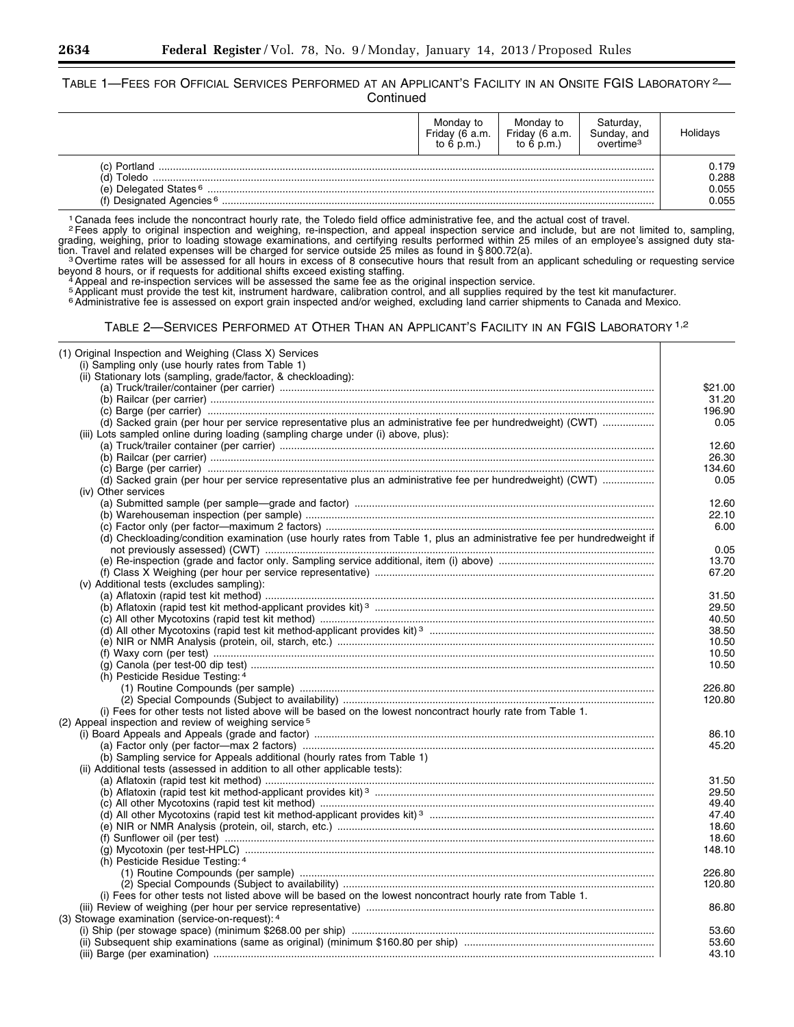TABLE 1-FEES FOR OFFICIAL SERVICES PERFORMED AT AN APPLICANT'S FACILITY IN AN ONSITE FGIS LABORATORY<sup>2</sup>-**Continued** 

|                                                                  | Monday to<br>Friday (6 a.m.<br>to $6$ p.m.) | Monday to<br>Friday (6 a.m.<br>to $6$ p.m.) | Saturday,<br>Sunday, and<br>overtime <sup>3</sup> | Holidays       |
|------------------------------------------------------------------|---------------------------------------------|---------------------------------------------|---------------------------------------------------|----------------|
| (c) Portland<br>Toledo<br>(d)                                    |                                             |                                             |                                                   | 0.179<br>0.288 |
| (e) Delegated States $6$<br>(f) Designated Agencies <sup>6</sup> |                                             |                                             | 0.055<br>0.055                                    |                |

<sup>1</sup> Canada fees include the noncontract hourly rate, the Toledo field office administrative fee, and the actual cost of travel.<br><sup>2</sup> Fees apply to original inspection and weighing, re-inspection, and appeal inspection servi grading, weighing, prior to loading stowage examinations, and certifying results performed within 25 miles of an employee's assigned duty sta-

tion. Travel and related expenses will be charged for service outside 25 miles as found in §800.72(a).<br><sup>3</sup>Overtime rates will be assessed for all hours in excess of 8 consecutive hours that result from an applicant schedul beyond 8 hours, or if requests for additional shifts exceed existing staffing.<br>4 Appeal and re-inspection services will be assessed the same fee as the original inspection service.

5 Applicant must provide the test kit, instrument hardware, calibration control, and all supplies required by the test kit manufacturer.<br><sup>6</sup> Administrative fee is assessed on export grain inspected and/or weighed, excludin

| (1) Original Inspection and Weighing (Class X) Services                                                                |         |
|------------------------------------------------------------------------------------------------------------------------|---------|
| (i) Sampling only (use hourly rates from Table 1)                                                                      |         |
| (ii) Stationary lots (sampling, grade/factor, & checkloading):                                                         |         |
|                                                                                                                        | \$21.00 |
|                                                                                                                        | 31.20   |
|                                                                                                                        | 196.90  |
| (d) Sacked grain (per hour per service representative plus an administrative fee per hundredweight) (CWT)              | 0.05    |
| (iii) Lots sampled online during loading (sampling charge under (i) above, plus):                                      |         |
|                                                                                                                        | 12.60   |
|                                                                                                                        | 26.30   |
|                                                                                                                        | 134.60  |
| (d) Sacked grain (per hour per service representative plus an administrative fee per hundredweight) (CWT)              | 0.05    |
| (iv) Other services                                                                                                    |         |
|                                                                                                                        | 12.60   |
|                                                                                                                        | 22.10   |
|                                                                                                                        | 6.00    |
| (d) Checkloading/condition examination (use hourly rates from Table 1, plus an administrative fee per hundredweight if |         |
|                                                                                                                        | 0.05    |
|                                                                                                                        |         |
|                                                                                                                        | 13.70   |
|                                                                                                                        | 67.20   |
| (v) Additional tests (excludes sampling):                                                                              |         |
|                                                                                                                        | 31.50   |
|                                                                                                                        | 29.50   |
|                                                                                                                        | 40.50   |
|                                                                                                                        | 38.50   |
|                                                                                                                        | 10.50   |
|                                                                                                                        | 10.50   |
|                                                                                                                        | 10.50   |
| (h) Pesticide Residue Testing: 4                                                                                       |         |
|                                                                                                                        | 226.80  |
|                                                                                                                        | 120.80  |
| (i) Fees for other tests not listed above will be based on the lowest noncontract hourly rate from Table 1.            |         |
| (2) Appeal inspection and review of weighing service <sup>5</sup>                                                      |         |
|                                                                                                                        | 86.10   |
|                                                                                                                        | 45.20   |
| (b) Sampling service for Appeals additional (hourly rates from Table 1)                                                |         |
| (ii) Additional tests (assessed in addition to all other applicable tests):                                            |         |
|                                                                                                                        | 31.50   |
|                                                                                                                        | 29.50   |
|                                                                                                                        | 49.40   |
|                                                                                                                        | 47.40   |
|                                                                                                                        | 18.60   |
|                                                                                                                        | 18.60   |
|                                                                                                                        | 148.10  |
| (h) Pesticide Residue Testing: 4                                                                                       |         |
|                                                                                                                        | 226.80  |
|                                                                                                                        |         |
|                                                                                                                        | 120.80  |
| (i) Fees for other tests not listed above will be based on the lowest noncontract hourly rate from Table 1.            |         |
|                                                                                                                        | 86.80   |
| (3) Stowage examination (service-on-request): 4                                                                        |         |
|                                                                                                                        | 53.60   |
|                                                                                                                        | 53.60   |
|                                                                                                                        | 43.10   |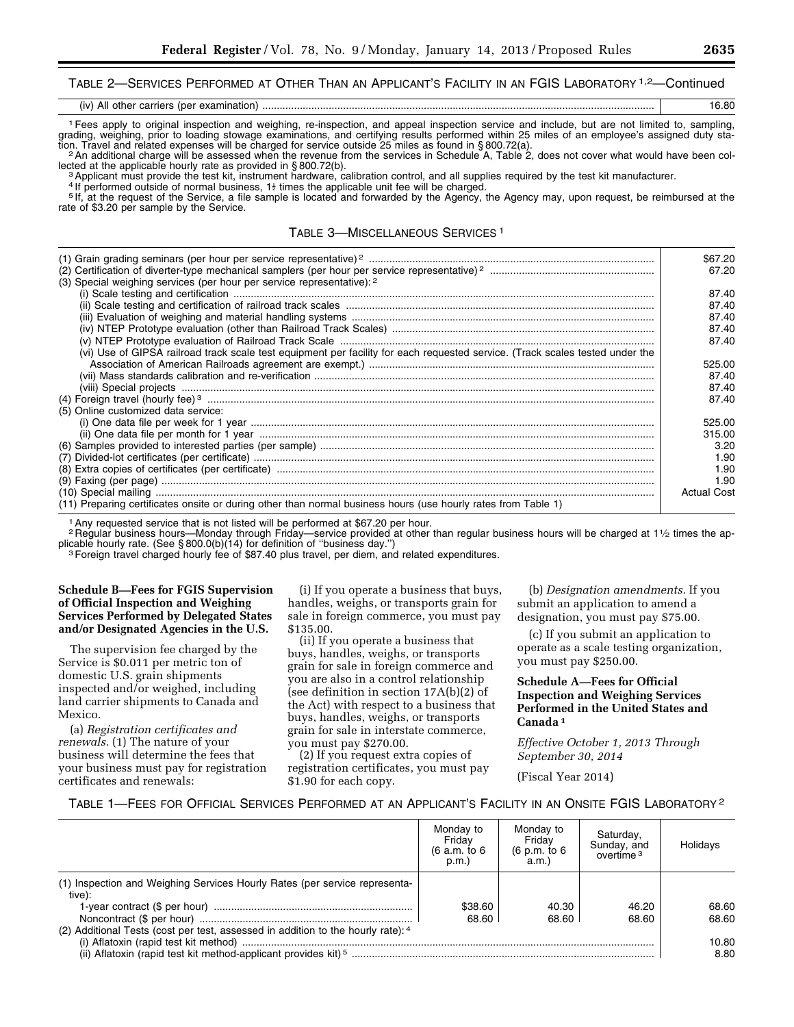## TABLE 2—SERVICES PERFORMED AT OTHER THAN AN APPLICANT'S FACILITY IN AN FGIS LABORATORY 1,2—Continued

| $\cdots$<br>(iv<br>All<br>examına<br>מ דר<br>00 rrioro<br>l nar<br>$\cdots$<br>20U<br>.<br>. |  |
|----------------------------------------------------------------------------------------------|--|
|----------------------------------------------------------------------------------------------|--|

1Fees apply to original inspection and weighing, re-inspection, and appeal inspection service and include, but are not limited to, sampling, grading, weighing, prior to loading stowage examinations, and certifying results performed within 25 miles of an employee's assigned duty sta-

Fion. Travel and related expenses will be charged for service outside 25 miles as found in §800.72(a).<br><sup>2</sup> An additional charge will be assessed when the revenue from the services in Schedule A, Table 2, does not cover wha

<sup>3</sup> Applicant must provide the test kit, instrument hardware, calibration control, and all supplies required by the test kit manufacturer.<br><sup>4</sup> If performed outside of normal business, 1<sup>}</sup> times the applicable unit fee wil rate of \$3.20 per sample by the Service.

#### TABLE 3—MISCELLANEOUS SERVICES 1

|                                                                                                                               | \$67.20<br>67.20   |
|-------------------------------------------------------------------------------------------------------------------------------|--------------------|
| (3) Special weighing services (per hour per service representative): 2                                                        |                    |
|                                                                                                                               | 87.40              |
|                                                                                                                               | 87.40              |
|                                                                                                                               | 87.40              |
|                                                                                                                               | 87.40              |
|                                                                                                                               | 87.40              |
| (vi) Use of GIPSA railroad track scale test equipment per facility for each requested service. (Track scales tested under the |                    |
|                                                                                                                               | 525.00             |
|                                                                                                                               | 87.40              |
|                                                                                                                               | 87.40              |
|                                                                                                                               | 87.40              |
| (5) Online customized data service:                                                                                           |                    |
|                                                                                                                               | 525.00             |
|                                                                                                                               | 315.00             |
|                                                                                                                               | 3.20               |
|                                                                                                                               | 1.90               |
|                                                                                                                               | 1.90               |
|                                                                                                                               | 1.90               |
|                                                                                                                               | <b>Actual Cost</b> |
| (11) Preparing certificates onsite or during other than normal business hours (use hourly rates from Table 1)                 |                    |

<sup>1</sup> Any requested service that is not listed will be performed at \$67.20 per hour.

2 Regular business hours—Monday through Friday—service provided at other than regular business hours will be charged at  $1\frac{1}{2}$  times the applicable hourly rate. (See §800.0(b)(14) for definition of "business day.")

<sup>3</sup> Foreign travel charged hourly fee of \$87.40 plus travel, per diem, and related expenditures.

#### **Schedule B—Fees for FGIS Supervision of Official Inspection and Weighing Services Performed by Delegated States and/or Designated Agencies in the U.S.**

The supervision fee charged by the Service is \$0.011 per metric ton of domestic U.S. grain shipments inspected and/or weighed, including land carrier shipments to Canada and Mexico.

(a) *Registration certificates and renewals.* (1) The nature of your business will determine the fees that your business must pay for registration certificates and renewals:

(i) If you operate a business that buys, handles, weighs, or transports grain for sale in foreign commerce, you must pay \$135.00.

(ii) If you operate a business that buys, handles, weighs, or transports grain for sale in foreign commerce and you are also in a control relationship (see definition in section 17A(b)(2) of the Act) with respect to a business that buys, handles, weighs, or transports grain for sale in interstate commerce, you must pay \$270.00.

(2) If you request extra copies of registration certificates, you must pay \$1.90 for each copy.

(b) *Designation amendments.* If you submit an application to amend a designation, you must pay \$75.00.

(c) If you submit an application to operate as a scale testing organization, you must pay \$250.00.

#### **Schedule A—Fees for Official Inspection and Weighing Services Performed in the United States and Canada 1**

*Effective October 1, 2013 Through September 30, 2014* 

(Fiscal Year 2014)

#### TABLE 1—FEES FOR OFFICIAL SERVICES PERFORMED AT AN APPLICANT'S FACILITY IN AN ONSITE FGIS LABORATORY 2

|                                                                                                                                                                          | Monday to<br>Fridav<br>(6 a.m. to 6<br>p.m. | Monday to<br>Fridav<br>(6 p.m. to 6<br>a.m. | Saturday,<br>Sunday, and<br>$overline{a}$ <sup>3</sup> | <b>Holidavs</b>                 |
|--------------------------------------------------------------------------------------------------------------------------------------------------------------------------|---------------------------------------------|---------------------------------------------|--------------------------------------------------------|---------------------------------|
| (1) Inspection and Weighing Services Hourly Rates (per service representa-<br>tive):<br>(2) Additional Tests (cost per test, assessed in addition to the hourly rate): 4 | \$38.60<br>68.60                            | 40.30<br>68.60                              | 46.20<br>68.60                                         | 68.60<br>68.60<br>10.80<br>8.80 |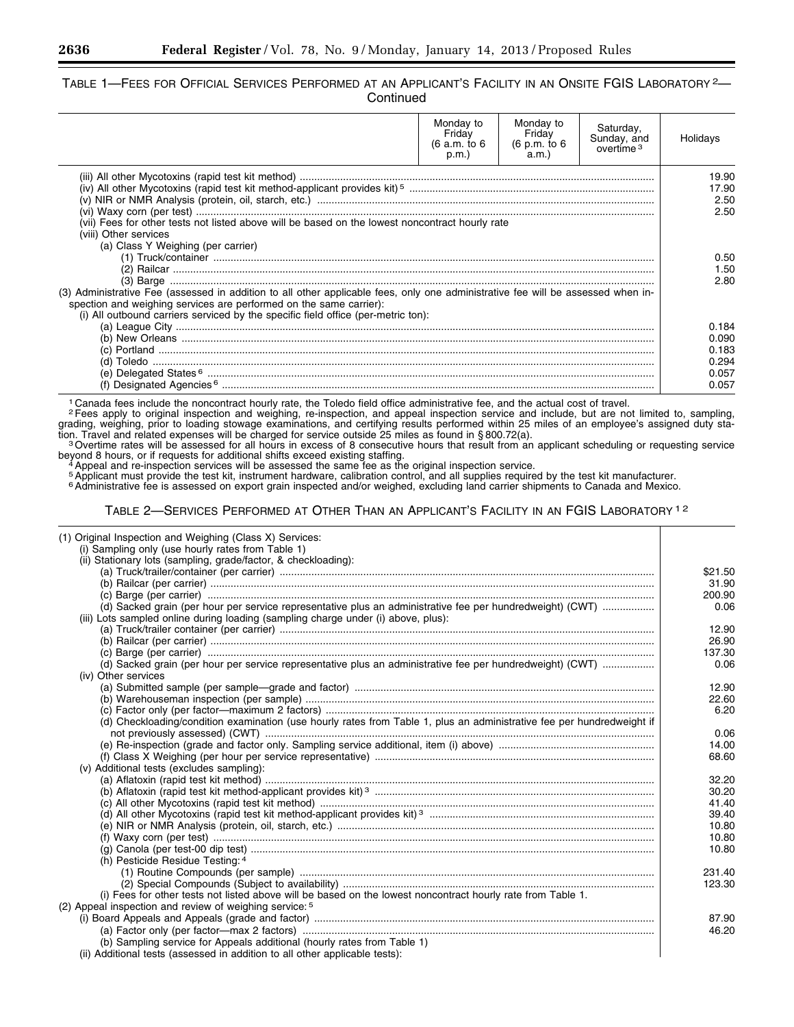## TABLE 1—FEES FOR OFFICIAL SERVICES PERFORMED AT AN APPLICANT'S FACILITY IN AN ONSITE FGIS LABORATORY 2— **Continued**

|                                                                                                                                                                        | Monday to<br>Friday<br>(6 a.m. to 6)<br>p.m.) | Monday to<br>Friday<br>(6 p.m. to 6<br>a.m. | Saturday,<br>Sunday, and<br>overtime <sup>3</sup> | Holidays                                           |
|------------------------------------------------------------------------------------------------------------------------------------------------------------------------|-----------------------------------------------|---------------------------------------------|---------------------------------------------------|----------------------------------------------------|
| (vii) Fees for other tests not listed above will be based on the lowest noncontract hourly rate<br>(viii) Other services                                               |                                               |                                             |                                                   | 19.90<br>17.90<br>2.50<br>2.50                     |
| (a) Class Y Weighing (per carrier)<br>(3) Administrative Fee (assessed in addition to all other applicable fees, only one administrative fee will be assessed when in- |                                               |                                             |                                                   | 0.50<br>1.50<br>2.80                               |
| spection and weighing services are performed on the same carrier):<br>(i) All outbound carriers serviced by the specific field office (per-metric ton):                |                                               |                                             |                                                   |                                                    |
|                                                                                                                                                                        |                                               |                                             |                                                   | 0.184<br>0.090<br>0.183<br>0.294<br>0.057<br>0.057 |

<sup>1</sup> Canada fees include the noncontract hourly rate, the Toledo field office administrative fee, and the actual cost of travel.<br><sup>2</sup> Fees apply to original inspection and weighing, re-inspection, and appeal inspection servi grading, weighing, prior to loading stowage examinations, and certifying results performed within 25 miles of an employee's assigned duty station. Travel and related expenses will be charged for service outside 25 miles as found in §800.72(a).<br>3 Overtime rates will be assessed for all hours in excess of 8 consecutive hours that result from an applicant scheduli

beyond 8 hours, or if requests for additional shifts exceed existing staffing. 4Appeal and re-inspection services will be assessed the same fee as the original inspection service.

s Applicant must provide the test kit, instrument hardware, calibration control, and all supplies required by the test kit manufacturer.<br><sup>6</sup> Administrative fee is assessed on export grain inspected and/or weighed, excludin

| (1) Original Inspection and Weighing (Class X) Services:                                                                         |         |
|----------------------------------------------------------------------------------------------------------------------------------|---------|
| (i) Sampling only (use hourly rates from Table 1)                                                                                |         |
| (ii) Stationary lots (sampling, grade/factor, & checkloading):                                                                   |         |
|                                                                                                                                  | \$21.50 |
|                                                                                                                                  | 31.90   |
|                                                                                                                                  | 200.90  |
| (d) Sacked grain (per hour per service representative plus an administrative fee per hundredweight) (CWT)                        | 0.06    |
| (iii) Lots sampled online during loading (sampling charge under (i) above, plus):                                                |         |
|                                                                                                                                  | 12.90   |
|                                                                                                                                  | 26.90   |
|                                                                                                                                  | 137.30  |
| (d) Sacked grain (per hour per service representative plus an administrative fee per hundredweight) (CWT)<br>(iv) Other services | 0.06    |
|                                                                                                                                  | 12.90   |
|                                                                                                                                  | 22.60   |
|                                                                                                                                  | 6.20    |
| (d) Checkloading/condition examination (use hourly rates from Table 1, plus an administrative fee per hundredweight if           |         |
|                                                                                                                                  | 0.06    |
|                                                                                                                                  | 14.00   |
|                                                                                                                                  | 68.60   |
| (v) Additional tests (excludes sampling):                                                                                        |         |
|                                                                                                                                  | 32.20   |
|                                                                                                                                  | 30.20   |
|                                                                                                                                  | 41.40   |
|                                                                                                                                  | 39.40   |
|                                                                                                                                  | 10.80   |
|                                                                                                                                  | 10.80   |
|                                                                                                                                  | 10.80   |
| (h) Pesticide Residue Testing: 4                                                                                                 |         |
|                                                                                                                                  | 231.40  |
|                                                                                                                                  | 123.30  |
| (i) Fees for other tests not listed above will be based on the lowest noncontract hourly rate from Table 1.                      |         |
| (2) Appeal inspection and review of weighing service: 5                                                                          |         |
|                                                                                                                                  | 87.90   |
|                                                                                                                                  | 46.20   |
| (b) Sampling service for Appeals additional (hourly rates from Table 1)                                                          |         |
| (ii) Additional tests (assessed in addition to all other applicable tests):                                                      |         |
|                                                                                                                                  |         |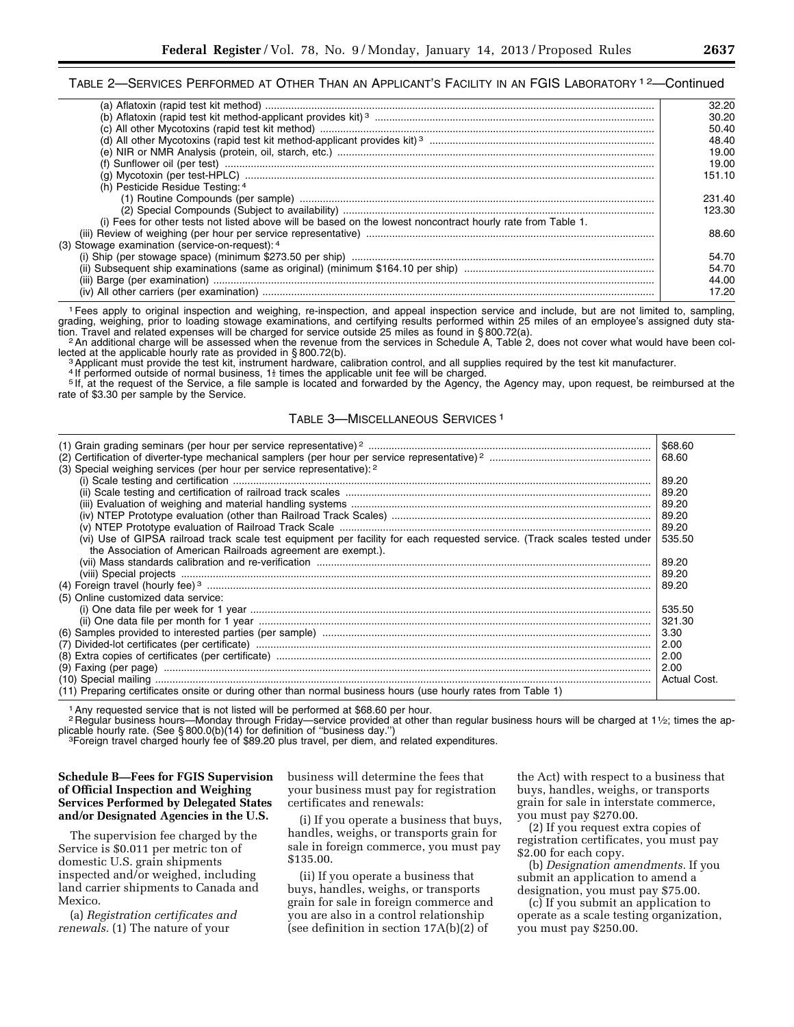# TABLE 2—SERVICES PERFORMED AT OTHER THAN AN APPLICANT'S FACILITY IN AN FGIS LABORATORY <sup>12</sup>—Continued

|                                                                                                             | 32.20  |
|-------------------------------------------------------------------------------------------------------------|--------|
|                                                                                                             | 30.20  |
|                                                                                                             | 50.40  |
|                                                                                                             | 48.40  |
|                                                                                                             | 19.00  |
| (f) Sunflower oil (per test)                                                                                | 19.00  |
|                                                                                                             | 151.10 |
| (h) Pesticide Residue Testing: 4                                                                            |        |
|                                                                                                             | 231.40 |
|                                                                                                             | 123.30 |
| (i) Fees for other tests not listed above will be based on the lowest noncontract hourly rate from Table 1. |        |
|                                                                                                             | 88.60  |
| (3) Stowage examination (service-on-request): 4                                                             |        |
|                                                                                                             | 54.70  |
|                                                                                                             | 54.70  |
|                                                                                                             | 44.00  |
|                                                                                                             | 17.20  |
|                                                                                                             |        |

1Fees apply to original inspection and weighing, re-inspection, and appeal inspection service and include, but are not limited to, sampling, grading, weighing, prior to loading stowage examinations, and certifying results performed within 25 miles of an employee's assigned duty sta-

tion. Travel and related expenses will be charged for service outside 25 miles as found in § 800.72(a).<br><sup>2</sup> An additional charge will be assessed when the revenue from the services in Schedule A, Table 2, does not cover wh

<sup>3</sup> Applicant must provide the test kit, instrument hardware, calibration control, and all supplies required by the test kit manufacturer.<br><sup>4</sup> If performed outside of normal business, 1<sup>}</sup> times the applicable unit fee wil rate of \$3.30 per sample by the Service.

#### TABLE 3—MISCELLANEOUS SERVICES 1

| (3) Special weighing services (per hour per service representative): 2                                                                                                                     | \$68.60<br>68.60 |
|--------------------------------------------------------------------------------------------------------------------------------------------------------------------------------------------|------------------|
|                                                                                                                                                                                            | 89.20<br>89.20   |
|                                                                                                                                                                                            | 89.20            |
|                                                                                                                                                                                            | 89.20            |
|                                                                                                                                                                                            | 89.20            |
| (vi) Use of GIPSA railroad track scale test equipment per facility for each requested service. (Track scales tested under<br>the Association of American Railroads agreement are exempt.). | 535.50           |
|                                                                                                                                                                                            | 89.20            |
|                                                                                                                                                                                            | 89.20            |
|                                                                                                                                                                                            | 89.20            |
| (5) Online customized data service:                                                                                                                                                        |                  |
|                                                                                                                                                                                            | 535.50           |
|                                                                                                                                                                                            | 321.30           |
|                                                                                                                                                                                            | 3.30             |
|                                                                                                                                                                                            | 2.00             |
|                                                                                                                                                                                            | 2.00             |
|                                                                                                                                                                                            | 2.00             |
|                                                                                                                                                                                            | Actual Cost.     |
| (11) Preparing certificates onsite or during other than normal business hours (use hourly rates from Table 1)                                                                              |                  |

<sup>1</sup> Any requested service that is not listed will be performed at \$68.60 per hour.

2 Regular business hours—Monday through Friday—service provided at other than regular business hours will be charged at 11/2; times the ap-<br>plicable hourly rate. (See § 800.0(b)(14) for definition of "business day.")

<sup>3</sup>Foreign travel charged hourly fee of \$89.20 plus travel, per diem, and related expenditures.

#### **Schedule B—Fees for FGIS Supervision of Official Inspection and Weighing Services Performed by Delegated States and/or Designated Agencies in the U.S.**

The supervision fee charged by the Service is \$0.011 per metric ton of domestic U.S. grain shipments inspected and/or weighed, including land carrier shipments to Canada and Mexico.

(a) *Registration certificates and renewals.* (1) The nature of your

business will determine the fees that your business must pay for registration certificates and renewals:

(i) If you operate a business that buys, handles, weighs, or transports grain for sale in foreign commerce, you must pay \$135.00.

(ii) If you operate a business that buys, handles, weighs, or transports grain for sale in foreign commerce and you are also in a control relationship (see definition in section 17A(b)(2) of

the Act) with respect to a business that buys, handles, weighs, or transports grain for sale in interstate commerce, you must pay \$270.00.

(2) If you request extra copies of registration certificates, you must pay \$2.00 for each copy.

(b) *Designation amendments.* If you submit an application to amend a designation, you must pay \$75.00.

(c) If you submit an application to operate as a scale testing organization, you must pay \$250.00.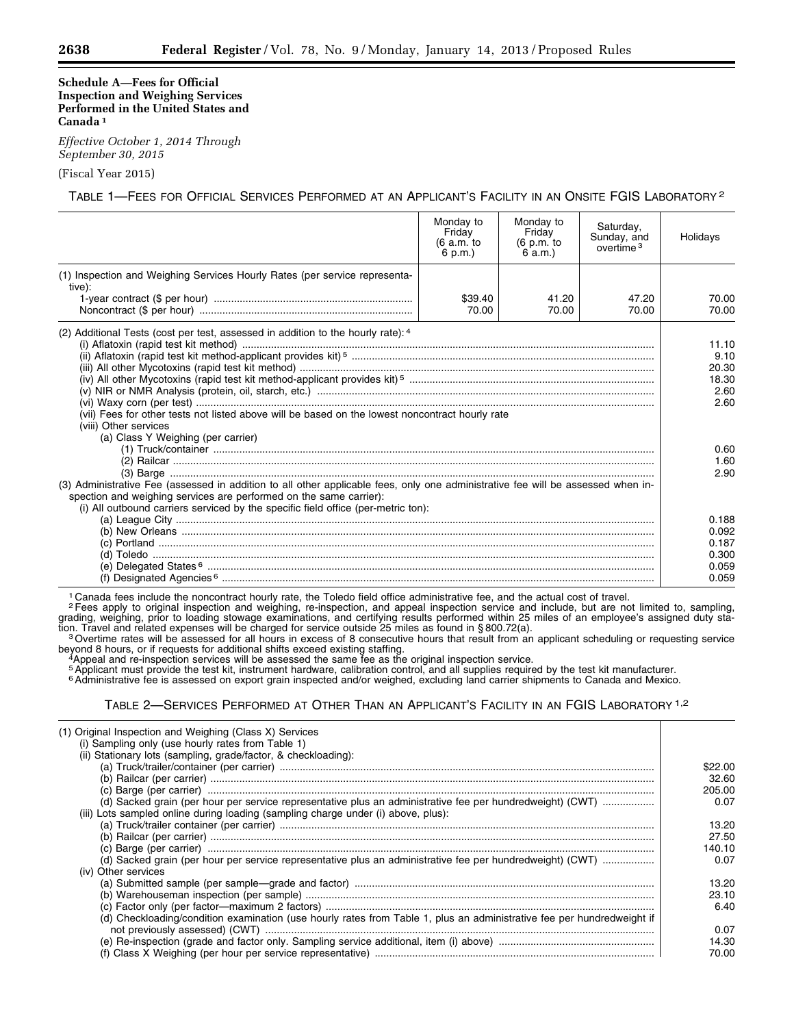#### **Schedule A—Fees for Official Inspection and Weighing Services Performed in the United States and Canada 1**

*Effective October 1, 2014 Through September 30, 2015* 

(Fiscal Year 2015)

TABLE 1—FEES FOR OFFICIAL SERVICES PERFORMED AT AN APPLICANT'S FACILITY IN AN ONSITE FGIS LABORATORY 2

|                                                                                                                                                                                                                                                                                                                                                                                                                                                                                                                                                   | Monday to<br>Friday<br>(6 a.m. to<br>6 p.m.) | Monday to<br>Friday<br>(6 p.m. to<br>6 a.m.) | Saturday,<br>Sunday, and<br>overtime $3$ | Holidays                                                                |
|---------------------------------------------------------------------------------------------------------------------------------------------------------------------------------------------------------------------------------------------------------------------------------------------------------------------------------------------------------------------------------------------------------------------------------------------------------------------------------------------------------------------------------------------------|----------------------------------------------|----------------------------------------------|------------------------------------------|-------------------------------------------------------------------------|
| (1) Inspection and Weighing Services Hourly Rates (per service representa-<br>tive):                                                                                                                                                                                                                                                                                                                                                                                                                                                              |                                              |                                              |                                          |                                                                         |
|                                                                                                                                                                                                                                                                                                                                                                                                                                                                                                                                                   | \$39.40<br>70.00                             | 41.20<br>70.00                               | 47.20<br>70.00                           | 70.00<br>70.00                                                          |
| (2) Additional Tests (cost per test, assessed in addition to the hourly rate): 4<br>(vii) Fees for other tests not listed above will be based on the lowest noncontract hourly rate<br>(viii) Other services<br>(a) Class Y Weighing (per carrier)<br>(3) Administrative Fee (assessed in addition to all other applicable fees, only one administrative fee will be assessed when in-<br>spection and weighing services are performed on the same carrier):<br>(i) All outbound carriers serviced by the specific field office (per-metric ton): |                                              |                                              |                                          | 11.10<br>9.10<br>20.30<br>18.30<br>2.60<br>2.60<br>0.60<br>1.60<br>2.90 |
|                                                                                                                                                                                                                                                                                                                                                                                                                                                                                                                                                   |                                              |                                              |                                          | 0.188<br>0.092<br>0.187<br>0.300<br>0.059<br>0.059                      |

<sup>1</sup> Canada fees include the noncontract hourly rate, the Toledo field office administrative fee, and the actual cost of travel.<br><sup>2</sup> Fees apply to original inspection and weighing, re-inspection, and appeal inspection servi grading, weighing, prior to loading stowage examinations, and certifying results performed within 25 miles of an employee's assigned duty sta-

tion. Travel and related expenses will be charged for service outside 25 miles as found in § 800.72(a).<br><sup>3</sup> Overtime rates will be assessed for all hours in excess of 8 consecutive hours that result from an applicant sched

<sup>4</sup>Appeal and re-inspection services will be assessed the same fee as the original inspection service.<br><sup>5</sup> Applicant must provide the test kit, instrument hardware, calibration control, and all supplies required by the tes

<sup>6</sup> Administrative fee is assessed on export grain inspected and/or weighed, excluding land carrier shipments to Canada and Mexico.

| (1) Original Inspection and Weighing (Class X) Services<br>(i) Sampling only (use hourly rates from Table 1)           |         |
|------------------------------------------------------------------------------------------------------------------------|---------|
| (ii) Stationary lots (sampling, grade/factor, & checkloading):                                                         |         |
|                                                                                                                        | \$22.00 |
|                                                                                                                        | 32.60   |
|                                                                                                                        | 205.00  |
| (d) Sacked grain (per hour per service representative plus an administrative fee per hundredweight) (CWT)              | 0.07    |
| (iii) Lots sampled online during loading (sampling charge under (i) above, plus):                                      |         |
|                                                                                                                        | 13.20   |
|                                                                                                                        | 27.50   |
|                                                                                                                        | 140.10  |
| (d) Sacked grain (per hour per service representative plus an administrative fee per hundredweight) (CWT)              | 0.07    |
| (iv) Other services                                                                                                    |         |
|                                                                                                                        | 13.20   |
|                                                                                                                        | 23.10   |
|                                                                                                                        | 6.40    |
| (d) Checkloading/condition examination (use hourly rates from Table 1, plus an administrative fee per hundredweight if |         |
|                                                                                                                        | 0.07    |
|                                                                                                                        | 14.30   |
|                                                                                                                        | 70.00   |
|                                                                                                                        |         |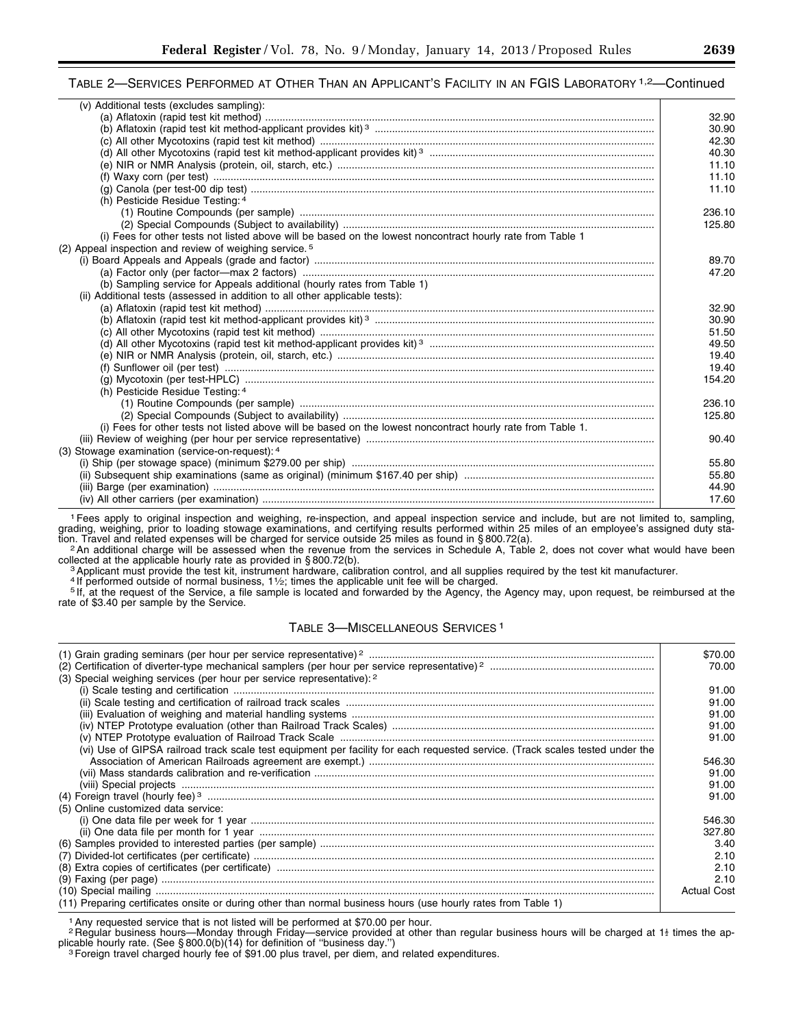# TABLE 2—SERVICES PERFORMED AT OTHER THAN AN APPLICANT'S FACILITY IN AN FGIS LABORATORY <sup>1,2</sup>—Continued

| (v) Additional tests (excludes sampling):                                                                   |        |
|-------------------------------------------------------------------------------------------------------------|--------|
|                                                                                                             | 32.90  |
|                                                                                                             | 30.90  |
|                                                                                                             | 42.30  |
|                                                                                                             | 40.30  |
|                                                                                                             | 11.10  |
|                                                                                                             | 11.10  |
|                                                                                                             | 11.10  |
| (h) Pesticide Residue Testing: 4                                                                            |        |
|                                                                                                             | 236.10 |
|                                                                                                             | 125.80 |
| (i) Fees for other tests not listed above will be based on the lowest noncontract hourly rate from Table 1  |        |
| (2) Appeal inspection and review of weighing service. <sup>5</sup>                                          |        |
|                                                                                                             | 89.70  |
|                                                                                                             | 47.20  |
| (b) Sampling service for Appeals additional (hourly rates from Table 1)                                     |        |
| (ii) Additional tests (assessed in addition to all other applicable tests):                                 |        |
|                                                                                                             | 32.90  |
|                                                                                                             | 30.90  |
|                                                                                                             | 51.50  |
|                                                                                                             | 49.50  |
|                                                                                                             | 19.40  |
|                                                                                                             | 19.40  |
|                                                                                                             | 154.20 |
| (h) Pesticide Residue Testing: 4                                                                            |        |
|                                                                                                             | 236.10 |
|                                                                                                             | 125.80 |
| (i) Fees for other tests not listed above will be based on the lowest noncontract hourly rate from Table 1. |        |
|                                                                                                             | 90.40  |
| (3) Stowage examination (service-on-request): 4                                                             |        |
|                                                                                                             | 55.80  |
|                                                                                                             | 55.80  |
|                                                                                                             | 44.90  |
|                                                                                                             | 17.60  |
|                                                                                                             |        |

1Fees apply to original inspection and weighing, re-inspection, and appeal inspection service and include, but are not limited to, sampling, grading, weighing, prior to loading stowage examinations, and certifying results performed within 25 miles of an employee's assigned duty sta-<br>tion. Travel and related expenses will be charged for service outside 25 miles

<sup>2</sup> An additional charge will be assessed when the revenue from the services in Schedule A, Table 2, does not cover what would have been collected at the applicable hourly rate as provided in §800.72(b).

3 Applicant must provide the test kit, instrument hardware, calibration control, and all supplies required by the test kit manufacturer.<br>4 If performed outside of normal business, 1½; times the applicable unit fee will be rate of \$3.40 per sample by the Service.

## TABLE 3—MISCELLANEOUS SERVICES 1

|                                                                                                                               | \$70.00            |
|-------------------------------------------------------------------------------------------------------------------------------|--------------------|
|                                                                                                                               | 70.00              |
| (3) Special weighing services (per hour per service representative): 2                                                        |                    |
|                                                                                                                               | 91.00              |
|                                                                                                                               | 91.00              |
|                                                                                                                               | 91.00              |
|                                                                                                                               | 91.00              |
|                                                                                                                               | 91.00              |
| (vi) Use of GIPSA railroad track scale test equipment per facility for each requested service. (Track scales tested under the |                    |
|                                                                                                                               | 546.30             |
|                                                                                                                               | 91.00              |
|                                                                                                                               | 91.00              |
|                                                                                                                               | 91.00              |
| (5) Online customized data service:                                                                                           |                    |
|                                                                                                                               | 546.30             |
|                                                                                                                               | 327.80             |
|                                                                                                                               | 3.40               |
|                                                                                                                               | 2.10               |
|                                                                                                                               | 2.10               |
|                                                                                                                               | 2.10               |
|                                                                                                                               | <b>Actual Cost</b> |
| (11) Preparing certificates onsite or during other than normal business hours (use hourly rates from Table 1)                 |                    |

<sup>1</sup> Any requested service that is not listed will be performed at \$70.00 per hour.

<sup>2</sup> Regular business hours—Monday through Friday—service provided at other than regular business hours will be charged at 1<sup>t</sup> times the applicable hourly rate. (See § 800.0(b)(14) for definition of "business day.")<br><sup>3</sup> Foreign travel charged hourly fee of \$91.00 plus travel, per diem, and related expenditures.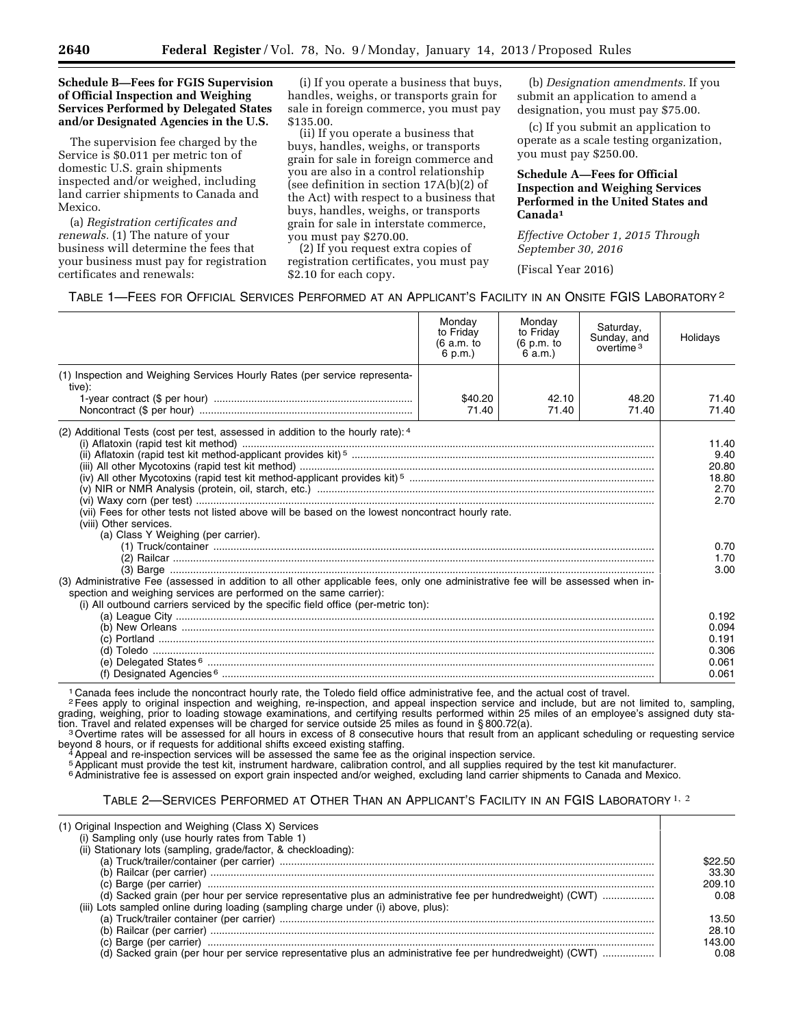#### **Schedule B—Fees for FGIS Supervision of Official Inspection and Weighing Services Performed by Delegated States and/or Designated Agencies in the U.S.**

The supervision fee charged by the Service is \$0.011 per metric ton of domestic U.S. grain shipments inspected and/or weighed, including land carrier shipments to Canada and Mexico.

(a) *Registration certificates and renewals.* (1) The nature of your business will determine the fees that your business must pay for registration certificates and renewals:

(i) If you operate a business that buys, handles, weighs, or transports grain for sale in foreign commerce, you must pay \$135.00.

(ii) If you operate a business that buys, handles, weighs, or transports grain for sale in foreign commerce and you are also in a control relationship (see definition in section  $17A(b)(2)$  of the Act) with respect to a business that buys, handles, weighs, or transports grain for sale in interstate commerce, you must pay \$270.00.

(2) If you request extra copies of registration certificates, you must pay \$2.10 for each copy.

(b) *Designation amendments.* If you submit an application to amend a designation, you must pay \$75.00.

(c) If you submit an application to operate as a scale testing organization, you must pay \$250.00.

## **Schedule A—Fees for Official Inspection and Weighing Services Performed in the United States and Canada1**

*Effective October 1, 2015 Through September 30, 2016* 

(Fiscal Year 2016)

| TABLE 1-FEES FOR OFFICIAL SERVICES PERFORMED AT AN APPLICANT'S FACILITY IN AN ONSITE FGIS LABORATORY <sup>2</sup> |  |  |
|-------------------------------------------------------------------------------------------------------------------|--|--|
|-------------------------------------------------------------------------------------------------------------------|--|--|

|                                                                                                                                                                                                                                                                                             | Monday<br>to Friday<br>(6 a.m. to<br>6 p.m.) | Monday<br>to Friday<br>(6 p.m. to<br>6 a.m.) | Saturday,<br>Sunday, and<br>overtime <sup>3</sup> | Holidays               |
|---------------------------------------------------------------------------------------------------------------------------------------------------------------------------------------------------------------------------------------------------------------------------------------------|----------------------------------------------|----------------------------------------------|---------------------------------------------------|------------------------|
| (1) Inspection and Weighing Services Hourly Rates (per service representa-<br>tive):                                                                                                                                                                                                        |                                              |                                              |                                                   |                        |
|                                                                                                                                                                                                                                                                                             | \$40.20<br>71.40                             | 42.10<br>71.40                               | 48.20<br>71.40                                    | 71.40<br>71.40         |
| (2) Additional Tests (cost per test, assessed in addition to the hourly rate): 4                                                                                                                                                                                                            |                                              |                                              |                                                   | 11.40                  |
|                                                                                                                                                                                                                                                                                             |                                              |                                              |                                                   | 9.40<br>20.80<br>18.80 |
| (vii) Fees for other tests not listed above will be based on the lowest noncontract hourly rate.<br>(viii) Other services.                                                                                                                                                                  |                                              |                                              | 2.70<br>2.70                                      |                        |
| (a) Class Y Weighing (per carrier).                                                                                                                                                                                                                                                         |                                              |                                              |                                                   | 0.70<br>1.70           |
| (3) Administrative Fee (assessed in addition to all other applicable fees, only one administrative fee will be assessed when in-<br>spection and weighing services are performed on the same carrier):<br>(i) All outbound carriers serviced by the specific field office (per-metric ton): |                                              |                                              |                                                   | 3.00                   |
|                                                                                                                                                                                                                                                                                             |                                              |                                              |                                                   | 0.192<br>0.094         |
|                                                                                                                                                                                                                                                                                             |                                              |                                              |                                                   | 0.191<br>0.306         |
|                                                                                                                                                                                                                                                                                             |                                              |                                              |                                                   | 0.061<br>0.061         |

<sup>1</sup> Canada fees include the noncontract hourly rate, the Toledo field office administrative fee, and the actual cost of travel.

2Fees apply to original inspection and weighing, re-inspection, and appeal inspection service and include, but are not limited to, sampling, grading, weighing, prior to loading stowage examinations, and certifying results performed within 25 miles of an employee's assigned duty sta-

tion. Travel and related expenses will be charged for service outside 25 miles as found in §800.72(a).<br><sup>3</sup>Overtime rates will be assessed for all hours in excess of 8 consecutive hours that result from an applicant schedul beyond 8 hours, or if requests for additional shifts exceed existing staffing.<br>4 Appeal and re-inspection services will be assessed the same fee as the original inspection service.<br><sup>5</sup> Applicant must provide the test kit,

<sup>6</sup> Administrative fee is assessed on export grain inspected and/or weighed, excluding land carrier shipments to Canada and Mexico.

| (1) Original Inspection and Weighing (Class X) Services<br>(i) Sampling only (use hourly rates from Table 1)<br>(ii) Stationary lots (sampling, grade/factor, & checkloading):<br>(iii) Lots sampled online during loading (sampling charge under (i) above, plus):<br>(d) Sacked grain (per hour per service representative plus an administrative fee per hundredweight) (CWT)<br>0.08 |         |
|------------------------------------------------------------------------------------------------------------------------------------------------------------------------------------------------------------------------------------------------------------------------------------------------------------------------------------------------------------------------------------------|---------|
|                                                                                                                                                                                                                                                                                                                                                                                          |         |
|                                                                                                                                                                                                                                                                                                                                                                                          |         |
|                                                                                                                                                                                                                                                                                                                                                                                          | \$22.50 |
|                                                                                                                                                                                                                                                                                                                                                                                          | 33.30   |
|                                                                                                                                                                                                                                                                                                                                                                                          | 209.10  |
|                                                                                                                                                                                                                                                                                                                                                                                          | 0.08    |
|                                                                                                                                                                                                                                                                                                                                                                                          |         |
|                                                                                                                                                                                                                                                                                                                                                                                          | 13.50   |
|                                                                                                                                                                                                                                                                                                                                                                                          | 28.10   |
|                                                                                                                                                                                                                                                                                                                                                                                          | 143.00  |
|                                                                                                                                                                                                                                                                                                                                                                                          |         |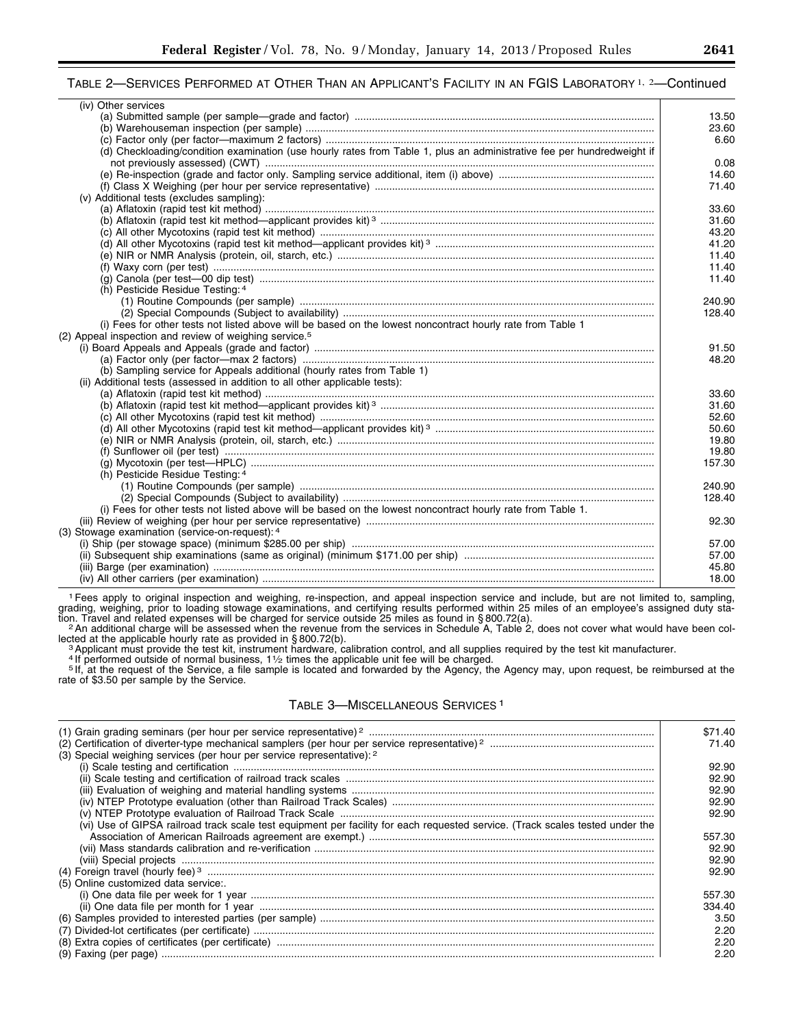## TABLE 2—SERVICES PERFORMED AT OTHER THAN AN APPLICANT'S FACILITY IN AN FGIS LABORATORY 1, 2—Continued

| (iv) Other services                                                                                                    |                |
|------------------------------------------------------------------------------------------------------------------------|----------------|
|                                                                                                                        | 13.50          |
|                                                                                                                        | 23.60          |
|                                                                                                                        | 6.60           |
| (d) Checkloading/condition examination (use hourly rates from Table 1, plus an administrative fee per hundredweight if |                |
|                                                                                                                        | 0.08           |
|                                                                                                                        | 14.60          |
|                                                                                                                        | 71.40          |
| (v) Additional tests (excludes sampling):                                                                              |                |
|                                                                                                                        | 33.60          |
|                                                                                                                        | 31.60          |
|                                                                                                                        | 43.20          |
|                                                                                                                        | 41.20          |
|                                                                                                                        | 11.40          |
|                                                                                                                        | 11.40          |
|                                                                                                                        | 11.40          |
| (h) Pesticide Residue Testing: 4                                                                                       |                |
|                                                                                                                        | 240.90         |
|                                                                                                                        | 128.40         |
| (i) Fees for other tests not listed above will be based on the lowest noncontract hourly rate from Table 1             |                |
| (2) Appeal inspection and review of weighing service. <sup>5</sup>                                                     |                |
|                                                                                                                        | 91.50          |
|                                                                                                                        | 48.20          |
| (b) Sampling service for Appeals additional (hourly rates from Table 1)                                                |                |
| (ii) Additional tests (assessed in addition to all other applicable tests):                                            |                |
|                                                                                                                        | 33.60          |
|                                                                                                                        | 31.60          |
|                                                                                                                        | 52.60          |
|                                                                                                                        | 50.60          |
|                                                                                                                        | 19.80          |
|                                                                                                                        | 19.80          |
|                                                                                                                        | 157.30         |
| (h) Pesticide Residue Testing: 4                                                                                       |                |
|                                                                                                                        | 240.90         |
|                                                                                                                        | 128.40         |
| (i) Fees for other tests not listed above will be based on the lowest noncontract hourly rate from Table 1.            |                |
|                                                                                                                        | 92.30          |
| (3) Stowage examination (service-on-request): 4                                                                        |                |
|                                                                                                                        | 57.00          |
|                                                                                                                        | 57.00          |
|                                                                                                                        |                |
|                                                                                                                        | 45.80<br>18.00 |
|                                                                                                                        |                |

1Fees apply to original inspection and weighing, re-inspection, and appeal inspection service and include, but are not limited to, sampling, grading, weighing, prior to loading stowage examinations, and certifying results performed within 25 miles of an employee's assigned duty staion. Travel and related expenses will be charged for service outside 25 miles as found in § 800.72(a).<br><sup>2</sup> An additional charge will be assessed when the revenue from the services in Schedule A, Table 2, does not cover wha

explicable hourly rate as provided in § 800.72(b).<br><sup>3</sup> Applicant must provide the test kit, instrument hardware, calibration control, and all supplies required by the test kit manufacturer.<br><sup>3</sup> Applicant must provide the t

Figure of \$3.50 per sample by the Service, a file sample is located and forwarded by the Agency, the Agency may, upon request, be reimbursed at the rate of \$3.50 per sample by the Service.

# TABLE 3—MISCELLANEOUS SERVICES 1

|                                                                                                                               | \$71.40 |
|-------------------------------------------------------------------------------------------------------------------------------|---------|
| (3) Special weighing services (per hour per service representative): 2                                                        | 71.40   |
|                                                                                                                               | 92.90   |
|                                                                                                                               | 92.90   |
|                                                                                                                               | 92.90   |
|                                                                                                                               | 92.90   |
|                                                                                                                               | 92.90   |
| (vi) Use of GIPSA railroad track scale test equipment per facility for each requested service. (Track scales tested under the |         |
|                                                                                                                               | 557.30  |
|                                                                                                                               | 92.90   |
|                                                                                                                               | 92.90   |
|                                                                                                                               | 92.90   |
| (5) Online customized data service:                                                                                           |         |
|                                                                                                                               | 557.30  |
|                                                                                                                               | 334.40  |
|                                                                                                                               | 3.50    |
|                                                                                                                               | 2.20    |
|                                                                                                                               | 2.20    |
|                                                                                                                               | 2.20    |
|                                                                                                                               |         |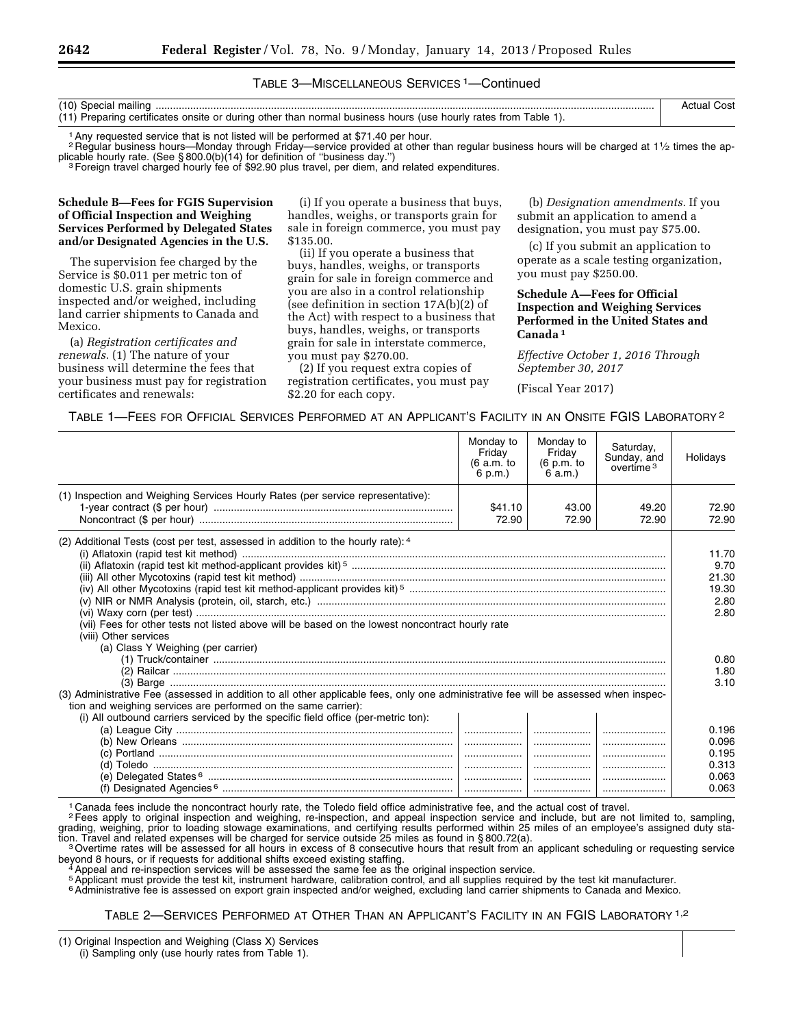## TABLE 3—MISCELLANEOUS SERVICES 1—Continued

| (10) Special mailing                                                                                          |  |
|---------------------------------------------------------------------------------------------------------------|--|
| (11) Preparing certificates onsite or during other than normal business hours (use hourly rates from Table 1) |  |

1Any requested service that is not listed will be performed at \$71.40 per hour.

<sup>2</sup> Regular business hours—Monday through Friday—service provided at other than regular business hours will be charged at 11/2 times the ap-<br>plicable hourly rate. (See § 800.0(b)(14) for definition of "business day.")

<sup>3</sup> Foreign travel charged hourly fee of \$92.90 plus travel, per diem, and related expenditures.

#### **Schedule B—Fees for FGIS Supervision of Official Inspection and Weighing Services Performed by Delegated States and/or Designated Agencies in the U.S.**

The supervision fee charged by the Service is \$0.011 per metric ton of domestic U.S. grain shipments inspected and/or weighed, including land carrier shipments to Canada and Mexico.

(a) *Registration certificates and renewals.* (1) The nature of your business will determine the fees that your business must pay for registration certificates and renewals:

(i) If you operate a business that buys, handles, weighs, or transports grain for sale in foreign commerce, you must pay \$135.00.

(ii) If you operate a business that buys, handles, weighs, or transports grain for sale in foreign commerce and you are also in a control relationship (see definition in section 17A(b)(2) of the Act) with respect to a business that buys, handles, weighs, or transports grain for sale in interstate commerce, you must pay \$270.00.

(2) If you request extra copies of registration certificates, you must pay \$2.20 for each copy.

(b) *Designation amendments.* If you submit an application to amend a designation, you must pay \$75.00.

(c) If you submit an application to operate as a scale testing organization, you must pay \$250.00.

## **Schedule A—Fees for Official Inspection and Weighing Services Performed in the United States and Canada 1**

*Effective October 1, 2016 Through September 30, 2017* 

(Fiscal Year 2017)

#### TABLE 1—FEES FOR OFFICIAL SERVICES PERFORMED AT AN APPLICANT'S FACILITY IN AN ONSITE FGIS LABORATORY 2

|                                                                                                                                                                                                                                                                                             | Monday to<br>Friday<br>(6 a.m. to<br>6 p.m.) | Monday to<br>Friday<br>(6 p.m. to<br>6 a.m.) | Saturday,<br>Sunday, and<br>overtime <sup>3</sup> | Holidays                                                        |
|---------------------------------------------------------------------------------------------------------------------------------------------------------------------------------------------------------------------------------------------------------------------------------------------|----------------------------------------------|----------------------------------------------|---------------------------------------------------|-----------------------------------------------------------------|
| (1) Inspection and Weighing Services Hourly Rates (per service representative):                                                                                                                                                                                                             | \$41.10<br>72.90                             | 43.00<br>72.90                               | 49.20<br>72.90                                    | 72.90<br>72.90                                                  |
| (2) Additional Tests (cost per test, assessed in addition to the hourly rate): 4<br>(vii) Fees for other tests not listed above will be based on the lowest noncontract hourly rate<br>(viii) Other services<br>(a) Class Y Weighing (per carrier)                                          |                                              |                                              |                                                   | 11.70<br>9.70<br>21.30<br>19.30<br>2.80<br>2.80<br>0.80<br>1.80 |
| (3) Administrative Fee (assessed in addition to all other applicable fees, only one administrative fee will be assessed when inspec-<br>tion and weighing services are performed on the same carrier):<br>(i) All outbound carriers serviced by the specific field office (per-metric ton): |                                              | <u>  </u>                                    |                                                   | 3.10<br>0.196<br>0.096<br>0.195                                 |
|                                                                                                                                                                                                                                                                                             |                                              |                                              |                                                   | 0.313<br>0.063<br>0.063                                         |

1 Canada fees include the noncontract hourly rate, the Toledo field office administrative fee, and the actual cost of travel.

2Fees apply to original inspection and weighing, re-inspection, and appeal inspection service and include, but are not limited to, sampling, grading, weighing, prior to loading stowage examinations, and certifying results performed within 25 miles of an employee's assigned duty sta-<br>tion. Travel and related expenses will be charged for service outside 25 miles

<sup>3</sup> Overtime rates will be assessed for all hours in excess of 8 consecutive hours that result from an applicant scheduling or requesting service<br>beyond 8 hours, or if requests for additional shifts exceed existing staffin

<sup>4</sup> Appeal and re-inspection services will be assessed the same fee as the original inspection service.<br><sup>5</sup> Applicant must provide the test kit, instrument hardware, calibration control, and all supplies required by the te

<sup>6</sup> Administrative fee is assessed on export grain inspected and/or weighed, excluding land carrier shipments to Canada and Mexico.

<sup>(1)</sup> Original Inspection and Weighing (Class X) Services (i) Sampling only (use hourly rates from Table 1).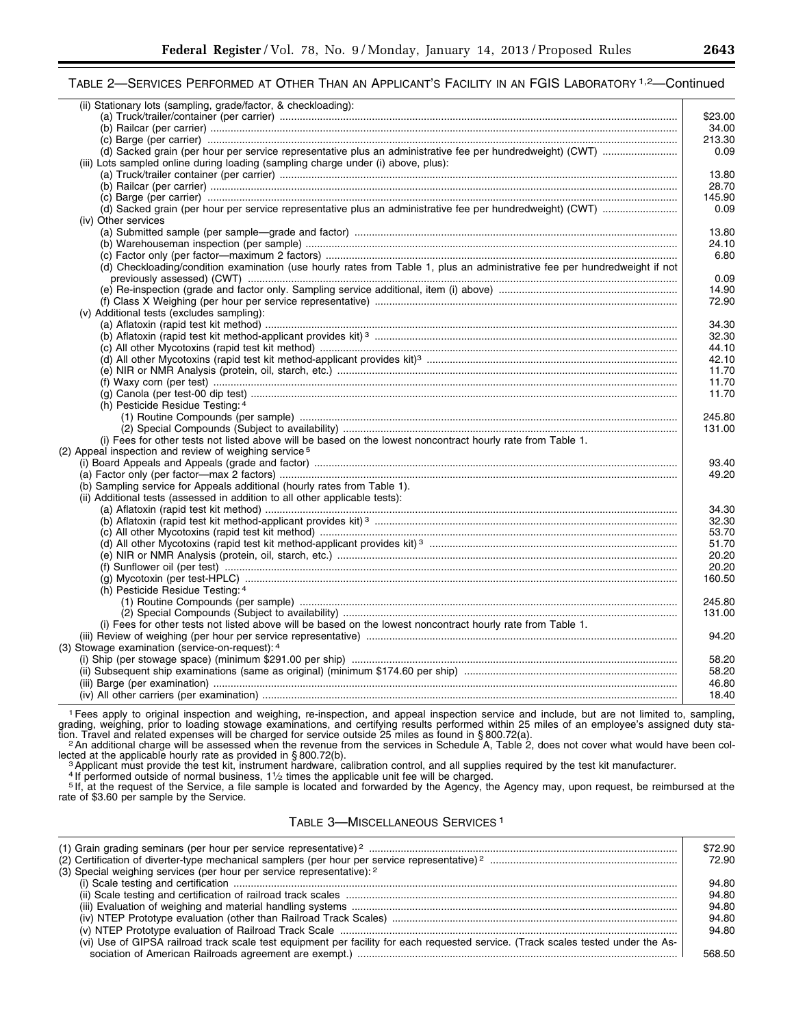# TABLE 2—SERVICES PERFORMED AT OTHER THAN AN APPLICANT'S FACILITY IN AN FGIS LABORATORY <sup>1,2</sup>—Continued

| (ii) Stationary lots (sampling, grade/factor, & checkloading):                                                             |         |
|----------------------------------------------------------------------------------------------------------------------------|---------|
|                                                                                                                            | \$23.00 |
|                                                                                                                            | 34.00   |
|                                                                                                                            | 213.30  |
|                                                                                                                            | 0.09    |
| (iii) Lots sampled online during loading (sampling charge under (i) above, plus):                                          |         |
|                                                                                                                            | 13.80   |
|                                                                                                                            | 28.70   |
|                                                                                                                            | 145.90  |
|                                                                                                                            | 0.09    |
| (iv) Other services                                                                                                        |         |
|                                                                                                                            | 13.80   |
|                                                                                                                            | 24.10   |
|                                                                                                                            | 6.80    |
| (d) Checkloading/condition examination (use hourly rates from Table 1, plus an administrative fee per hundredweight if not |         |
|                                                                                                                            | 0.09    |
|                                                                                                                            | 14.90   |
|                                                                                                                            | 72.90   |
| (v) Additional tests (excludes sampling):                                                                                  |         |
|                                                                                                                            |         |
|                                                                                                                            | 34.30   |
|                                                                                                                            | 32.30   |
|                                                                                                                            | 44.10   |
|                                                                                                                            | 42.10   |
|                                                                                                                            | 11.70   |
|                                                                                                                            | 11.70   |
|                                                                                                                            | 11.70   |
| (h) Pesticide Residue Testing: 4                                                                                           |         |
|                                                                                                                            | 245.80  |
|                                                                                                                            | 131.00  |
| (i) Fees for other tests not listed above will be based on the lowest noncontract hourly rate from Table 1.                |         |
| (2) Appeal inspection and review of weighing service <sup>5</sup>                                                          |         |
|                                                                                                                            | 93.40   |
|                                                                                                                            | 49.20   |
| (b) Sampling service for Appeals additional (hourly rates from Table 1).                                                   |         |
| (ii) Additional tests (assessed in addition to all other applicable tests):                                                |         |
|                                                                                                                            | 34.30   |
|                                                                                                                            | 32.30   |
|                                                                                                                            | 53.70   |
|                                                                                                                            | 51.70   |
|                                                                                                                            |         |
|                                                                                                                            | 20.20   |
|                                                                                                                            | 20.20   |
|                                                                                                                            | 160.50  |
| (h) Pesticide Residue Testing: 4                                                                                           |         |
|                                                                                                                            | 245.80  |
|                                                                                                                            | 131.00  |
| (i) Fees for other tests not listed above will be based on the lowest noncontract hourly rate from Table 1.                |         |
|                                                                                                                            | 94.20   |
| (3) Stowage examination (service-on-request): 4                                                                            |         |
|                                                                                                                            | 58.20   |
|                                                                                                                            | 58.20   |
|                                                                                                                            | 46.80   |
|                                                                                                                            | 18.40   |
|                                                                                                                            |         |

1Fees apply to original inspection and weighing, re-inspection, and appeal inspection service and include, but are not limited to, sampling, grading, weighing, prior to loading stowage examinations, and certifying results performed within 25 miles of an employee's assigned duty station. Travel and related expenses will be charged for service outside 25 miles as found in §800.72(a).<br>An additional charge will be assessed when the revenue from the services in Schedule A, Table 2, does not cover what wo

ected at the applicable hourly rate as provided in § 800.72(b).<br>
<sup>3</sup> Applicant must provide the test kit, instrument hardware, calibration control, and all supplies required by the test kit manufacturer.<br>
<sup>4</sup> If performed

rate of \$3.60 per sample by the Service.

# TABLE 3—MISCELLANEOUS SERVICES 1

| (3) Special weighing services (per hour per service representative): 2                                                            | \$72.90<br>72.90 |
|-----------------------------------------------------------------------------------------------------------------------------------|------------------|
|                                                                                                                                   | 94.80            |
|                                                                                                                                   | 94.80            |
|                                                                                                                                   | 94.80            |
|                                                                                                                                   | 94.80            |
|                                                                                                                                   | 94.80            |
| (vi) Use of GIPSA railroad track scale test equipment per facility for each requested service. (Track scales tested under the As- |                  |
|                                                                                                                                   | 568.50           |